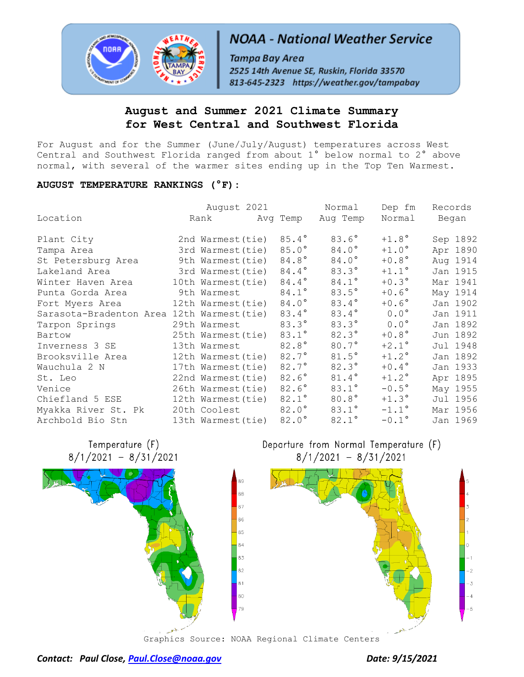

# **NOAA - National Weather Service**

Tampa Bay Area 2525 14th Avenue SE, Ruskin, Florida 33570 813-645-2323 https://weather.gov/tampabay

# **August and Summer 2021 Climate Summary for West Central and Southwest Florida**

For August and for the Summer (June/July/August) temperatures across West Central and Southwest Florida ranged from about 1° below normal to 2° above normal, with several of the warmer sites ending up in the Top Ten Warmest.

### **AUGUST TEMPERATURE RANKINGS (°F):**

|                                            | August 2021        |                | Normal                  | Dep fm         | Records |          |
|--------------------------------------------|--------------------|----------------|-------------------------|----------------|---------|----------|
| Location                                   |                    |                | Rank Marq Temp Aug Temp | Normal         | Began   |          |
| Plant City                                 | 2nd Warmest (tie)  | $85.4^{\circ}$ | $83.6^\circ$            | $+1.8^{\circ}$ |         | Sep 1892 |
| Tampa Area                                 | 3rd Warmest (tie)  | $85.0^\circ$   | $84.0^\circ$            | $+1.0^\circ$   |         | Apr 1890 |
| St Petersburg Area                         | 9th Warmest (tie)  | 84.8°          | 84.0°                   | $+0.8^{\circ}$ |         | Aug 1914 |
| Lakeland Area                              | 3rd Warmest(tie)   | 84.4°          | $83.3^\circ$            | $+1.1^{\circ}$ |         | Jan 1915 |
| Winter Haven Area                          | 10th Warmest (tie) | 84.4°          | 84.1°                   | $+0.3^{\circ}$ |         | Mar 1941 |
| Punta Gorda Area                           | 9th Warmest        | 84.1°          | $83.5^\circ$            | $+0.6^{\circ}$ |         | May 1914 |
| Fort Myers Area                            | 12th Warmest(tie)  | $84.0^\circ$   | $83.4^\circ$            | $+0.6^{\circ}$ |         | Jan 1902 |
| Sarasota-Bradenton Area 12th Warmest (tie) |                    | 83.4°          | $83.4^\circ$            | $0.0^{\circ}$  |         | Jan 1911 |
| Tarpon Springs                             | 29th Warmest       | $83.3^\circ$   | $83.3^\circ$            | $0.0^{\circ}$  |         | Jan 1892 |
| Bartow                                     | 25th Warmest(tie)  | $83.1^{\circ}$ | $82.3^\circ$            | $+0.8^{\circ}$ |         | Jun 1892 |
| Inverness 3 SE                             | 13th Warmest       | 82.8°          | $80.7^\circ$            | $+2.1^\circ$   |         | Jul 1948 |
| Brooksville Area                           | 12th Warmest (tie) | $82.7^{\circ}$ | $81.5^\circ$            | $+1.2$ °       |         | Jan 1892 |
| Wauchula 2 N                               | 17th Warmest (tie) | $82.7^{\circ}$ | $82.3^\circ$            | $+0.4^{\circ}$ |         | Jan 1933 |
| St. Leo                                    | 22nd Warmest (tie) | $82.6^\circ$   | 81.4°                   | $+1.2^\circ$   |         | Apr 1895 |
| Venice                                     | 26th Warmest (tie) | 82.6°          | $83.1^\circ$            | $-0.5^\circ$   |         | May 1955 |
| Chiefland 5 ESE                            | 12th Warmest(tie)  | $82.1^{\circ}$ | $80.8^\circ$            | $+1.3^\circ$   |         | Jul 1956 |
| Myakka River St. Pk                        | 20th Coolest       | $82.0^\circ$   | $83.1^\circ$            | $-1.1^{\circ}$ |         | Mar 1956 |
| Archbold Bio Stn                           | 13th Warmest(tie)  | 82.0°          | $82.1^{\circ}$          | $-0.1^{\circ}$ |         | Jan 1969 |

80





Departure from Normal Temperature (F)  $8/1/2021 - 8/31/2021$ 



Graphics Source: NOAA Regional Climate Centers

*Contact: Paul Close, [Paul.Close@noaa.gov](mailto:Paul.Close@noaa.gov) Date: 9/15/2021*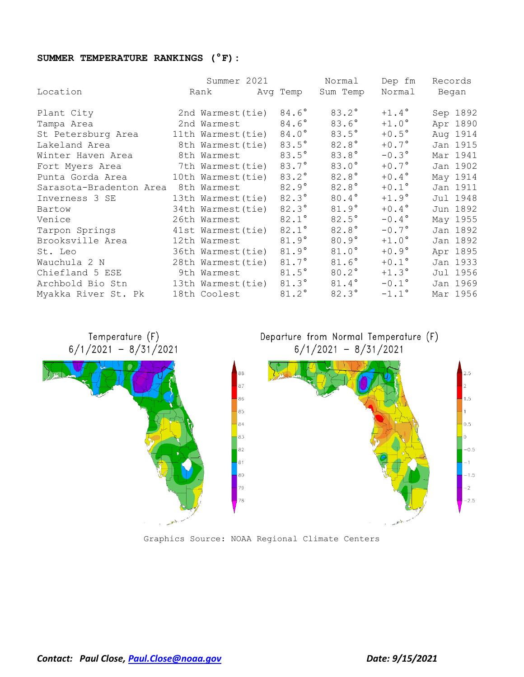## **SUMMER TEMPERATURE RANKINGS (°F):**

|                         | Summer 2021        |                | Normal         | Dep fm         | Records  |
|-------------------------|--------------------|----------------|----------------|----------------|----------|
| Location                | Rank               | Avg Temp       | Sum Temp       | Normal         | Began    |
| Plant City              | 2nd Warmest (tie)  | 84.6°          | $83.2^{\circ}$ | $+1.4^{\circ}$ | Sep 1892 |
| Tampa Area              | 2nd Warmest        | 84.6°          | $83.6^\circ$   | $+1.0^\circ$   | Apr 1890 |
| St Petersburg Area      | 11th Warmest (tie) | 84.0°          | $83.5^\circ$   | $+0.5^{\circ}$ | Aug 1914 |
| Lakeland Area           | 8th Warmest(tie)   | $83.5^{\circ}$ | 82.8°          | $+0.7^\circ$   | Jan 1915 |
| Winter Haven Area       | 8th Warmest        | $83.5^{\circ}$ | $83.8^\circ$   | $-0.3^{\circ}$ | Mar 1941 |
| Fort Myers Area         | 7th Warmest(tie)   | 83.7°          | $83.0^\circ$   | $+0.7^{\circ}$ | Jan 1902 |
| Punta Gorda Area        | 10th Warmest (tie) | 83.2°          | 82.8°          | $+0.4^{\circ}$ | May 1914 |
| Sarasota-Bradenton Area | 8th Warmest        | $82.9^\circ$   | $82.8^\circ$   | $+0.1^{\circ}$ | Jan 1911 |
| Inverness 3 SE          | 13th Warmest (tie) | $82.3^\circ$   | 80.4°          | $+1.9^\circ$   | Jul 1948 |
| Bartow                  | 34th Warmest (tie) | $82.3^\circ$   | $81.9^\circ$   | $+0.4^{\circ}$ | Jun 1892 |
| Venice                  | 26th Warmest       | 82.1°          | $82.5^\circ$   | $-0.4^{\circ}$ | May 1955 |
| Tarpon Springs          | 41st Warmest(tie)  | 82.1°          | 82.8°          | $-0.7^\circ$   | Jan 1892 |
| Brooksville Area        | 12th Warmest       | $81.9^\circ$   | $80.9^\circ$   | $+1.0^\circ$   | Jan 1892 |
| St. Leo                 | 36th Warmest (tie) | $81.9^\circ$   | $81.0^\circ$   | $+0.9^{\circ}$ | Apr 1895 |
| Wauchula 2 N            | 28th Warmest (tie) | 81.7°          | 81.6°          | $+0.1^{\circ}$ | Jan 1933 |
| Chiefland 5 ESE         | 9th Warmest        | $81.5^\circ$   | 80.2°          | $+1.3^\circ$   | Jul 1956 |
| Archbold Bio Stn        | 13th Warmest(tie)  | $81.3^\circ$   | $81.4^\circ$   | $-0.1^{\circ}$ | Jan 1969 |
| Myakka River St. Pk     | 18th Coolest       | 81.2°          | $82.3^\circ$   | $-1.1^{\circ}$ | Mar 1956 |



Graphics Source: NOAA Regional Climate Centers

*Contact: Paul Close, [Paul.Close@noaa.gov](mailto:Paul.Close@noaa.gov) Date: 9/15/2021*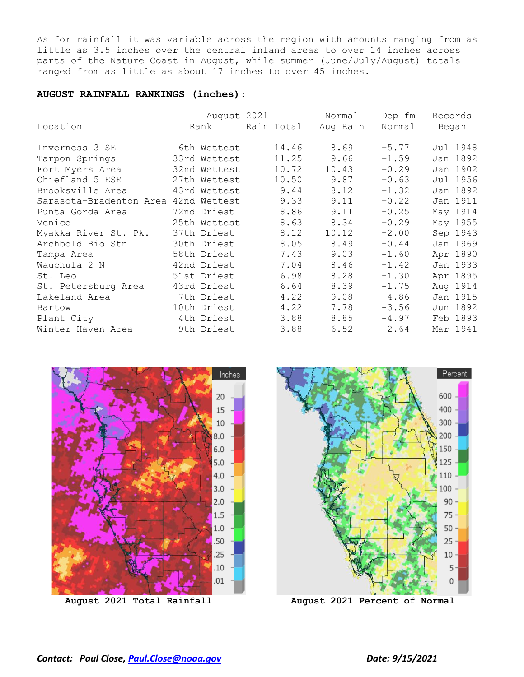As for rainfall it was variable across the region with amounts ranging from as little as 3.5 inches over the central inland areas to over 14 inches across parts of the Nature Coast in August, while summer (June/July/August) totals ranged from as little as about 17 inches to over 45 inches.

#### **AUGUST RAINFALL RANKINGS (inches):**

|                                      | August 2021  |            | Normal   | Dep fm  | Records  |
|--------------------------------------|--------------|------------|----------|---------|----------|
| Location                             | Rank         | Rain Total | Aug Rain | Normal  | Began    |
| Inverness 3 SE                       | 6th Wettest  | 14.46      | 8.69     | $+5.77$ | Jul 1948 |
| Tarpon Springs                       | 33rd Wettest | 11.25      | 9.66     | $+1.59$ | Jan 1892 |
| Fort Myers Area                      | 32nd Wettest | 10.72      | 10.43    | $+0.29$ | Jan 1902 |
| Chiefland 5 ESE                      | 27th Wettest | 10.50      | 9.87     | $+0.63$ | Jul 1956 |
| Brooksville Area                     | 43rd Wettest | 9.44       | 8.12     | $+1.32$ | Jan 1892 |
| Sarasota-Bradenton Area 42nd Wettest |              | 9.33       | 9.11     | $+0.22$ | Jan 1911 |
| Punta Gorda Area                     | 72nd Driest  | 8.86       | 9.11     | $-0.25$ | May 1914 |
| Venice                               | 25th Wettest | 8.63       | 8.34     | $+0.29$ | May 1955 |
| Myakka River St. Pk.                 | 37th Driest  | 8.12       | 10.12    | $-2.00$ | Sep 1943 |
| Archbold Bio Stn                     | 30th Driest  | 8.05       | 8.49     | $-0.44$ | Jan 1969 |
| Tampa Area                           | 58th Driest  | 7.43       | 9.03     | $-1.60$ | Apr 1890 |
| Wauchula 2 N                         | 42nd Driest  | 7.04       | 8.46     | $-1.42$ | Jan 1933 |
| St. Leo                              | 51st Driest  | 6.98       | 8.28     | $-1.30$ | Apr 1895 |
| St. Petersburg Area                  | 43rd Driest  | 6.64       | 8.39     | $-1.75$ | Aug 1914 |
| Lakeland Area                        | 7th Driest   | 4.22       | 9.08     | $-4.86$ | Jan 1915 |
| Bartow                               | 10th Driest  | 4.22       | 7.78     | $-3.56$ | Jun 1892 |
| Plant City                           | 4th Driest   | 3.88       | 8.85     | $-4.97$ | Feb 1893 |
| Winter Haven Area                    | 9th Driest   | 3.88       | 6.52     | $-2.64$ | Mar 1941 |



**August 2021 Total Rainfall August 2021 Percent of Normal**

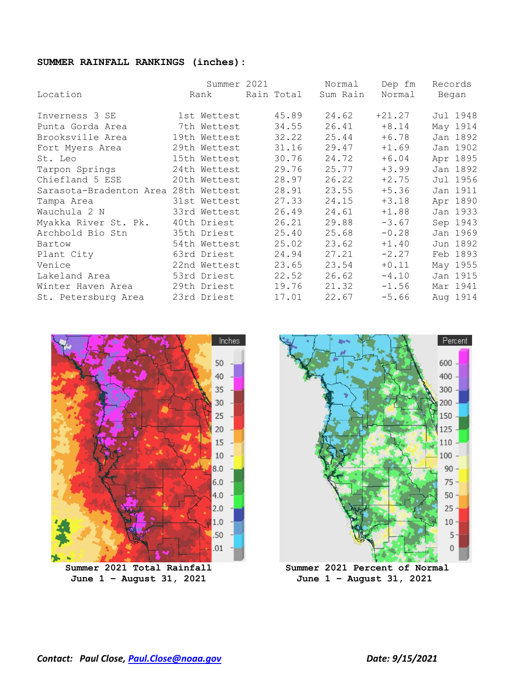#### **SUMMER RAINFALL RANKINGS (inches):**

|                                      | Summer 2021  |            | Normal   | Dep fm   | Records  |
|--------------------------------------|--------------|------------|----------|----------|----------|
| Location                             | Rank         | Rain Total | Sum Rain | Normal   | Began    |
| Inverness 3 SE                       | 1st Wettest  | 45.89      | 24.62    | $+21.27$ | Jul 1948 |
| Punta Gorda Area                     | 7th Wettest  | 34.55      | 26.41    | $+8.14$  | May 1914 |
| Brooksville Area                     | 19th Wettest | 32.22      | 25.44    | $+6.78$  | Jan 1892 |
| Fort Myers Area                      | 29th Wettest | 31.16      | 29.47    | $+1.69$  | Jan 1902 |
| St. Leo                              | 15th Wettest | 30.76      | 24.72    | $+6.04$  | Apr 1895 |
| Tarpon Springs                       | 24th Wettest | 29.76      | 25.77    | $+3.99$  | Jan 1892 |
| Chiefland 5 ESE                      | 20th Wettest | 28.97      | 26.22    | $+2.75$  | Jul 1956 |
| Sarasota-Bradenton Area 28th Wettest |              | 28.91      | 23.55    | $+5.36$  | Jan 1911 |
| Tampa Area                           | 31st Wettest | 27.33      | 24.15    | $+3.18$  | Apr 1890 |
| Wauchula 2 N                         | 33rd Wettest | 26.49      | 24.61    | $+1.88$  | Jan 1933 |
| Myakka River St. Pk.                 | 40th Driest  | 26.21      | 29.88    | $-3.67$  | Sep 1943 |
| Archbold Bio Stn                     | 35th Driest  | 25.40      | 25.68    | $-0.28$  | Jan 1969 |
| Bartow                               | 54th Wettest | 25.02      | 23.62    | $+1.40$  | Jun 1892 |
| Plant City                           | 63rd Driest  | 24.94      | 27.21    | $-2.27$  | Feb 1893 |
| Venice                               | 22nd Wettest | 23.65      | 23.54    | $+0.11$  | May 1955 |
| Lakeland Area                        | 53rd Driest  | 22.52      | 26.62    | $-4.10$  | Jan 1915 |
| Winter Haven Area                    | 29th Driest  | 19.76      | 21.32    | $-1.56$  | Mar 1941 |
| St. Petersburg Area                  | 23rd Driest  | 17.01      | 22.67    | $-5.66$  | Aug 1914 |



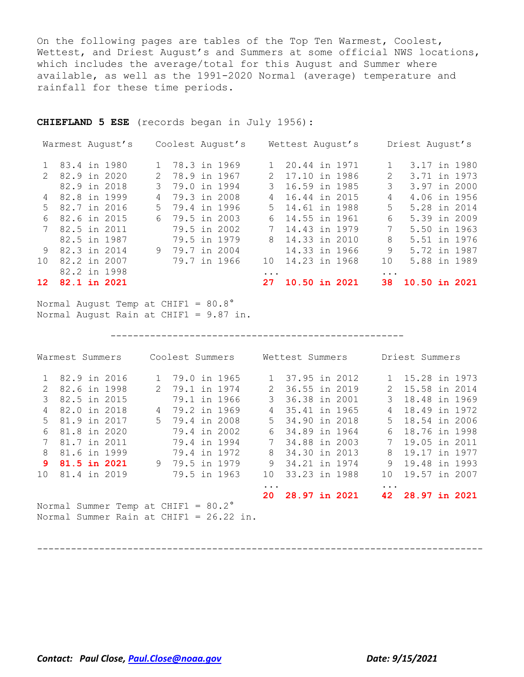On the following pages are tables of the Top Ten Warmest, Coolest, Wettest, and Driest August's and Summers at some official NWS locations, which includes the average/total for this August and Summer where available, as well as the 1991-2020 Normal (average) temperature and rainfall for these time periods.

**CHIEFLAND 5 ESE** (records began in July 1956):

| 12       | 82.2 in 1998<br>82.1 in 2021 |                             |                  | $\cdots$<br>27  | 10.50 in 2021    | $\cdots$<br>38 | $10.50$ in $2021$ |
|----------|------------------------------|-----------------------------|------------------|-----------------|------------------|----------------|-------------------|
| $10^{-}$ | 82.2 in 2007                 |                             | 79.7 in 1966     | 10 <sup>1</sup> | 14.23 in 1968    | 10             | 5.88 in 1989      |
|          | 9 82.3 in 2014               | 9                           | 79.7 in 2004     |                 | 14.33 in 1966    | 9              | 5.72 in 1987      |
|          | 82.5 in 1987                 |                             | 79.5 in 1979     |                 | 8 14.33 in 2010  | 8              | 5.51 in 1976      |
|          | 7 82.5 in 2011               |                             | 79.5 in 2002     | 7               | 14.43 in 1979    | 7              | 5.50 in 1963      |
| 6        | 82.6 in 2015                 | 6                           | 79.5 in 2003     | 6               | 14.55 in 1961    | 6              | 5.39 in 2009      |
|          | 5 82.7 in 2016               |                             | 5 79.4 in 1996   |                 | 5 14.61 in 1988  | 5              | 5.28 in 2014      |
|          | 4 82.8 in 1999               | 4                           | 79.3 in 2008     | 4               | 16.44 in 2015    | 4              | 4.06 in 1956      |
|          | 82.9 in 2018                 | $\mathcal{B}$               | 79.0 in 1994     | $\mathcal{B}$   | 16.59 in 1985    | 3              | 3.97 in 2000      |
|          | 2 82.9 in 2020               | $\mathcal{D}_{\mathcal{L}}$ | 78.9 in 1967     | $\mathcal{L}$   | 17.10 in 1986    | 2              | 3.71 in 1973      |
|          | 1 83.4 in 1980               |                             | 1 78.3 in 1969   |                 | 1 20.44 in 1971  |                | 3.17 in 1980      |
|          | Warmest August's             |                             | Coolest August's |                 | Wettest August's |                | Driest August's   |

Normal August Temp at CHIF1 =  $80.8^\circ$ Normal August Rain at CHIF1 = 9.87 in.

----------------------------------------------------

|   | Warmest Summers                                                                         | Coolest Summers | Wettest Summers |               |                  | Driest Summers |                 |  |                  |  |
|---|-----------------------------------------------------------------------------------------|-----------------|-----------------|---------------|------------------|----------------|-----------------|--|------------------|--|
|   | 82.9 in 2016                                                                            |                 | 79.0 in 1965    |               | 1 37.95 in 2012  |                |                 |  | 1 15.28 in 1973  |  |
|   | 2 82.6 in 1998                                                                          |                 | 2 79.1 in 1974  | 2             | 36.55 in 2019    |                |                 |  | 2 15.58 in 2014  |  |
| 3 | 82.5 in 2015                                                                            |                 | 79.1 in 1966    | $\mathcal{E}$ | 36.38 in 2001    |                | $\mathcal{E}$   |  | 18,48 in 1969    |  |
| 4 | 82.0 in 2018                                                                            | 4               | 79.2 in 1969    | 4             | 35.41 in 1965    |                | 4               |  | 18.49 in 1972    |  |
|   | 5 81.9 in 2017                                                                          |                 | 5 79.4 in 2008  |               | 5 34.90 in 2018  |                |                 |  | 5 18.54 in 2006  |  |
| 6 | 81.8 in 2020                                                                            |                 | 79.4 in 2002    | 6             | 34.89 in 1964    |                | 6               |  | 18.76 in 1998    |  |
|   | 81.7 in 2011                                                                            |                 | 79.4 in 1994    | 7             | 34.88 in 2003    |                | 7               |  | 19.05 in 2011    |  |
| 8 | 81.6 in 1999                                                                            |                 | 79.4 in 1972    | 8             | 34.30 in 2013    |                | 8               |  | 19.17 in 1977    |  |
|   | 9 81.5 in 2021                                                                          |                 | 9 79.5 in 1979  | 9             | 34.21 in 1974    |                | 9               |  | 19.48 in 1993    |  |
|   | 10 81.4 in 2019                                                                         |                 | 79.5 in 1963    | 1 O           | 33.23 in 1988    |                | 10 <sup>1</sup> |  | 19.57 in 2007    |  |
|   |                                                                                         |                 |                 | $\cdots$      |                  |                | $\cdots$        |  |                  |  |
|   | Normal Summer Temp at CHIF1 = $80.2^{\circ}$<br>Normal Summer Rain at CHIF1 = 26.22 in. |                 |                 |               | 20 28.97 in 2021 |                |                 |  | 42 28.97 in 2021 |  |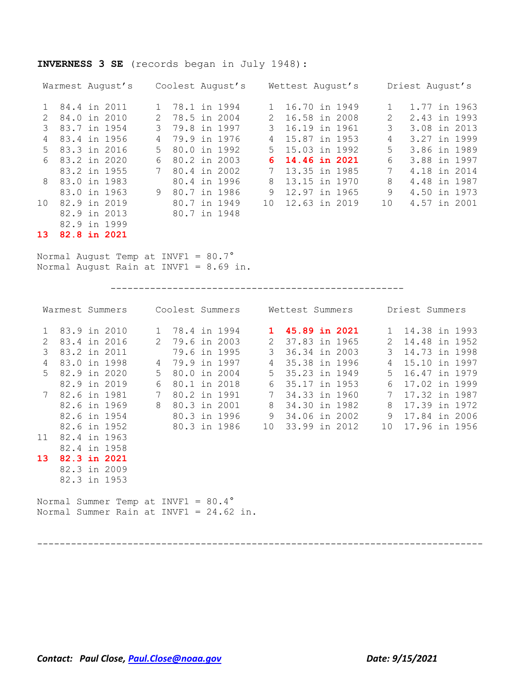### **INVERNESS 3 SE** (records began in July 1948):

|               | Warmest August's |    | Coolest August's |              | Wettest August's |    | Driest August's |  |  |  |
|---------------|------------------|----|------------------|--------------|------------------|----|-----------------|--|--|--|
|               | 84.4 in 2011     |    | 78.1 in 1994     |              | 16.70 in 1949    |    | 1.77 in 1963    |  |  |  |
| $\mathcal{L}$ | 84.0 in 2010     | 2  | 78.5 in 2004     | $\mathbf{2}$ | 16.58 in 2008    | 2  | 2.43 in 1993    |  |  |  |
|               | 83.7 in 1954     | 3  | 79.8 in 1997     |              | 16.19 in 1961    | 3  | 3.08 in 2013    |  |  |  |
| 4             | 83.4 in 1956     | 4  | 79.9 in 1976     | 4            | 15.87 in 1953    | 4  | 3.27 in 1999    |  |  |  |
| $5 -$         | 83.3 in 2016     | .5 | 80.0 in 1992     | 5            | 15.03 in 1992    | 5  | 3.86 in 1989    |  |  |  |
| 6             | 83.2 in 2020     | 6  | 80.2 in 2003     | 6.           | 14.46 in 2021    | 6  | 3.88 in 1997    |  |  |  |
|               | 83.2 in 1955     |    | 80.4 in 2002     |              | 13.35 in 1985    | 7  | 4.18 in 2014    |  |  |  |
| $\mathsf{R}$  | 83.0 in 1983     |    | 80.4 in 1996     | 8            | 13.15 in 1970    | 8  | 4.48 in 1987    |  |  |  |
|               | 83.0 in 1963     | 9  | 80.7 in 1986     | 9            | 12.97 in 1965    | 9  | 4.50 in 1973    |  |  |  |
| 10            | 82.9 in 2019     |    | 80.7 in 1949     | 1 O          | 12.63 in 2019    | 10 | 4.57 in 2001    |  |  |  |
|               | 82.9 in 2013     |    | 80.7 in 1948     |              |                  |    |                 |  |  |  |
|               | 82.9 in 1999     |    |                  |              |                  |    |                 |  |  |  |

**13 82.8 in 2021**

Normal August Temp at INVF1 = 80.7° Normal August Rain at INVF1 = 8.69 in.

----------------------------------------------------

|               | Warmest Summers |                                     |   | Coolest Summers |  |                | Wettest Summers |  |    |       | Driest Summers  |  |
|---------------|-----------------|-------------------------------------|---|-----------------|--|----------------|-----------------|--|----|-------|-----------------|--|
| $\mathbf{1}$  | 83.9 in 2010    |                                     |   | 1 78.4 in 1994  |  |                | 1 45.89 in 2021 |  |    |       | 1 14.38 in 1993 |  |
| $\mathcal{L}$ | 83.4 in 2016    |                                     |   | 2 79.6 in 2003  |  | $\mathbf{2}$   | 37.83 in 1965   |  | 2  |       | 14.48 in 1952   |  |
| 3             | 83.2 in 2011    |                                     |   | 79.6 in 1995    |  | 3              | 36.34 in 2003   |  | 3  |       | 14.73 in 1998   |  |
| 4             | 83.0 in 1998    |                                     | 4 | 79.9 in 1997    |  | 4              | 35.38 in 1996   |  | 4  |       | 15.10 in 1997   |  |
| $5 -$         | 82.9 in 2020    |                                     | 5 | 80.0 in 2004    |  | 5 <sup>7</sup> | 35.23 in 1949   |  |    | $5 -$ | 16.47 in 1979   |  |
|               | 82.9 in 2019    |                                     | 6 | 80.1 in 2018    |  | 6              | 35.17 in 1953   |  | 6  |       | 17.02 in 1999   |  |
|               | 7 82.6 in 1981  |                                     | 7 | 80.2 in 1991    |  |                | 34.33 in 1960   |  |    |       | 17.32 in 1987   |  |
|               | 82.6 in 1969    |                                     | 8 | 80.3 in 2001    |  | 8              | 34.30 in 1982   |  | 8  |       | 17.39 in 1972   |  |
|               | 82.6 in 1954    |                                     |   | 80.3 in 1996    |  | 9              | 34.06 in 2002   |  | 9  |       | 17.84 in 2006   |  |
|               | 82.6 in 1952    |                                     |   | 80.3 in 1986    |  | 10             | 33.99 in 2012   |  | 10 |       | 17.96 in 1956   |  |
| 11            | 82.4 in 1963    |                                     |   |                 |  |                |                 |  |    |       |                 |  |
|               | 82.4 in 1958    |                                     |   |                 |  |                |                 |  |    |       |                 |  |
| 13            | 82.3 in 2021    |                                     |   |                 |  |                |                 |  |    |       |                 |  |
|               | 82.3 in 2009    |                                     |   |                 |  |                |                 |  |    |       |                 |  |
|               | 82.3 in 1953    |                                     |   |                 |  |                |                 |  |    |       |                 |  |
|               |                 | Normal Summer Temp at INVF1 = 80.4° |   |                 |  |                |                 |  |    |       |                 |  |

Normal Summer Rain at INVF1 = 24.62 in.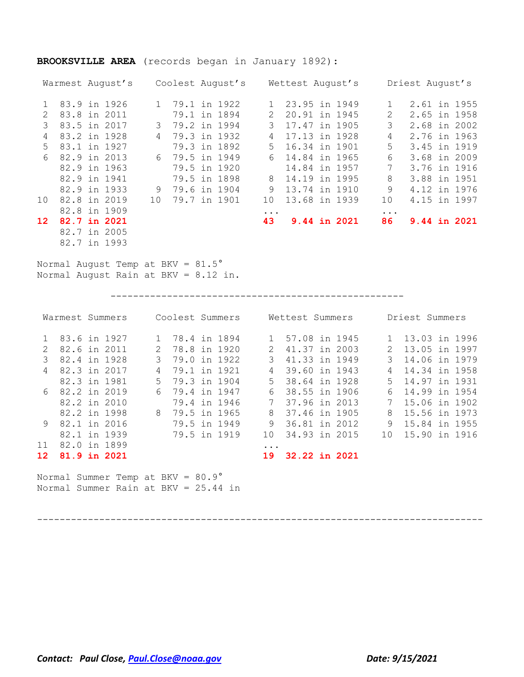|                 |              | Warmest August's |                 |              | Coolest August's |               | Wettest August's |  |           | Driest August's |  |
|-----------------|--------------|------------------|-----------------|--------------|------------------|---------------|------------------|--|-----------|-----------------|--|
|                 | 83.9 in 1926 |                  | $1 \quad$       | 79.1 in 1922 |                  |               | 23.95 in 1949    |  |           | 2.61 in 1955    |  |
| $\mathcal{P}$   | 83.8 in 2011 |                  |                 | 79.1 in 1894 |                  | $\mathcal{L}$ | 20.91 in 1945    |  | 2         | 2.65 in 1958    |  |
| 3               | 83.5 in 2017 |                  | 3               | 79.2 in 1994 |                  | 3             | 17.47 in 1905    |  | 3         | 2.68 in 2002    |  |
| 4               | 83.2 in 1928 |                  | 4               | 79.3 in 1932 |                  | 4             | 17.13 in 1928    |  | 4         | 2.76 in 1963    |  |
| 5.              | 83.1 in 1927 |                  |                 | 79.3 in 1892 |                  | .5            | 16.34 in 1901    |  | 5         | 3.45 in 1919    |  |
| 6               | 82.9 in 2013 |                  | 6               | 79.5 in 1949 |                  | 6             | 14.84 in 1965    |  | 6         | 3.68 in 2009    |  |
|                 | 82.9 in 1963 |                  |                 | 79.5 in 1920 |                  |               | 14.84 in 1957    |  | 7         | 3.76 in 1916    |  |
|                 | 82.9 in 1941 |                  |                 | 79.5 in 1898 |                  | 8             | 14.19 in 1995    |  | 8         | 3.88 in 1951    |  |
|                 | 82.9 in 1933 |                  | 9               | 79.6 in 1904 |                  | 9             | 13.74 in 1910    |  | 9         | 4.12 in 1976    |  |
| 10 <sup>°</sup> | 82.8 in 2019 |                  | 10 <sup>°</sup> | 79.7 in 1901 |                  | 10            | 13.68 in 1939    |  | 10        | 4.15 in 1997    |  |
|                 |              | 82.8 in 1909     |                 |              |                  | $\cdots$      |                  |  | $\ddotsc$ |                 |  |
| 12              | 82.7 in 2021 |                  |                 |              |                  | 43            | 9.44 in 2021     |  | 86        | 9.44 in 2021    |  |
|                 | 82.7 in 2005 |                  |                 |              |                  |               |                  |  |           |                 |  |
|                 |              | 82.7 in 1993     |                 |              |                  |               |                  |  |           |                 |  |

### **BROOKSVILLE AREA** (records began in January 1892):

Normal August Temp at BKV = 81.5° Normal August Rain at BKV = 8.12 in.

----------------------------------------------------

|             | Warmest Summers  | Coolest Summers               | Wettest Summers     | Driest Summers       |
|-------------|------------------|-------------------------------|---------------------|----------------------|
|             | 83.6 in 1927     | 78.4 in 1894<br>$\mathbf{1}$  | 57.08 in 1945       | 13.03 in 1996        |
|             | 82.6 in 2011     | 78.8 in 1920<br>$\mathcal{L}$ | 41.37 in 2003       | 13.05 in 1997        |
| 3           | 82.4 in 1928     | 3<br>79.0 in 1922             | 3<br>41.33 in 1949  | 3<br>14.06 in 1979   |
| 4           | 82.3 in 2017     | 79.1 in 1921<br>4             | 39.60 in 1943<br>4  | 14.34 in 1958<br>4   |
|             | 82.3 in 1981     | 79.3 in 1904<br>.5            | 38.64 in 1928<br>.5 | 14.97 in 1931<br>5.  |
| $6^{\circ}$ | 82.2 in 2019     | 79.4 in 1947<br>6             | 38.55 in 1906<br>6  | 14.99 in 1954<br>6   |
|             | $82.2$ in $2010$ | 79.4 in 1946                  | 37.96 in 2013       | 15.06 in 1902        |
|             | 82.2 in 1998     | 8<br>79.5 in 1965             | 8<br>37.46 in 1905  | 8<br>15.56 in 1973   |
| 9           | 82.1 in 2016     | 79.5 in 1949                  | 9<br>36.81 in 2012  | 9<br>15.84 in 1955   |
|             | 82.1 in 1939     | 79.5 in 1919                  | 34.93 in 2015<br>10 | 15.90 in 1916<br>1 O |
| $11^{-}$    | 82.0 in 1899     |                               | $\cdots$            |                      |
| 12          | 81.9 in 2021     |                               | 32.22 in 2021<br>19 |                      |
|             |                  |                               |                     |                      |

Normal Summer Temp at BKV = 80.9° Normal Summer Rain at BKV = 25.44 in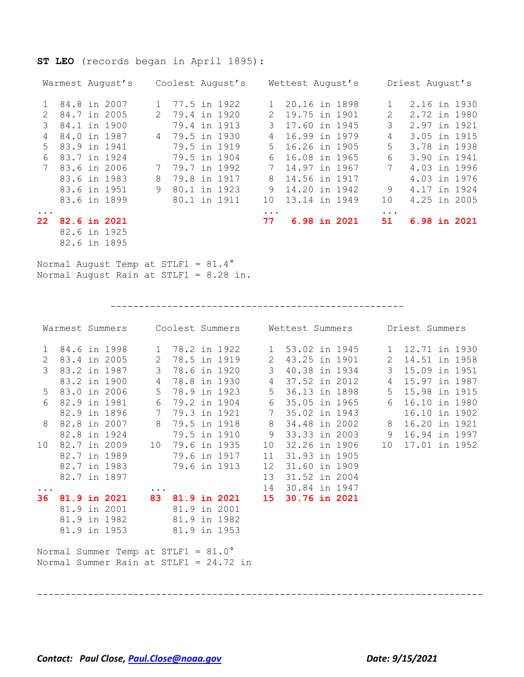### **ST LEO** (records began in April 1895):

|           | Warmest August's |              | Coolest August's |           | Wettest August's |           | Driest August's |
|-----------|------------------|--------------|------------------|-----------|------------------|-----------|-----------------|
|           | 84.8 in 2007     | $\mathbf{1}$ | 77.5 in 1922     |           | 20.16 in 1898    |           | 2.16 in 1930    |
| 2         | 84.7 in 2005     |              | 2 79.4 in 1920   | 2.        | 19.75 in 1901    | 2         | 2.72 in 1980    |
| 3         | 84.1 in 1900     |              | 79.4 in 1913     | 3         | 17.60 in 1945    | 3         | 2.97 in 1921    |
| 4         | 84.0 in 1987     |              | 4 79.5 in 1930   | 4         | 16.99 in 1979    | 4         | 3.05 in 1915    |
| $5 -$     | 83.9 in 1941     |              | 79.5 in 1919     | $5 -$     | 16.26 in 1905    | 5         | 3.78 in 1938    |
| 6         | 83.7 in 1924     |              | 79.5 in 1904     | 6         | 16.08 in 1965    | 6         | 3.90 in 1941    |
|           | 83.6 in 2006     | 7            | 79.7 in 1992     | 7         | 14.97 in 1967    | 7         | 4.03 in 1996    |
|           | 83.6 in 1983     | 8            | 79.8 in 1917     | 8         | 14.56 in 1917    |           | 4.03 in 1976    |
|           | 83.6 in 1951     | 9            | 80.1 in 1923     | 9         | 14.20 in 1942    | 9         | 4.17 in 1924    |
|           | 83.6 in 1899     |              | 80.1 in 1911     | 10        | 13.14 in 1949    | 10        | 4.25 in 2005    |
| $\ddotsc$ |                  |              |                  | $\ddotsc$ |                  | $\ddotsc$ |                 |
| 22.       | 82.6 in 2021     |              |                  | 77        | 6.98 in 2021     | 51        | 6.98 in 2021    |
|           | 82.6 in 1925     |              |                  |           |                  |           |                 |

82.6 in 1895

Normal August Temp at STLF1 = 81.4° Normal August Rain at STLF1 = 8.28 in.

----------------------------------------------------

|              |                | Warmest Summers Coolest Summers Mettest Summers                               |           |                |                                                |                 |               |  |                | Driest Summers  |  |
|--------------|----------------|-------------------------------------------------------------------------------|-----------|----------------|------------------------------------------------|-----------------|---------------|--|----------------|-----------------|--|
| $\mathbf{1}$ |                | 84.6 in 1998                                                                  |           |                | 1 78.2 in 1922 1 53.02 in 1945 1 12.71 in 1930 |                 |               |  |                |                 |  |
| 2            | 83.4 in 2005   |                                                                               | 2         | 78.5 in 1919   |                                                | $\overline{2}$  | 43.25 in 1901 |  | 2              | 14.51 in 1958   |  |
| 3            | 83.2 in 1987   |                                                                               |           | 3 78.6 in 1920 |                                                | 3 <sup>7</sup>  | 40.38 in 1934 |  |                | 3 15.09 in 1951 |  |
|              |                | 83.2 in 1900                                                                  |           | 4 78.8 in 1930 |                                                | 4               | 37.52 in 2012 |  | $\overline{4}$ | 15.97 in 1987   |  |
|              | 5 83.0 in 2006 |                                                                               |           | 5 78.9 in 1923 |                                                | 5 <sup>5</sup>  | 36.13 in 1898 |  | 5              | 15.98 in 1915   |  |
| 6            | 82.9 in 1981   |                                                                               |           | 6 79.2 in 1904 |                                                | 6               | 35.05 in 1965 |  | 6              | 16.10 in 1980   |  |
|              |                | 82.9 in 1896                                                                  |           |                | 7 79.3 in 1921                                 | $7\phantom{.0}$ | 35.02 in 1943 |  |                | 16.10 in 1902   |  |
| 8            | 82.8 in 2007   |                                                                               |           | 8 79.5 in 1918 |                                                | 8               | 34.48 in 2002 |  | 8              | 16.20 in 1921   |  |
|              | 82.8 in 1924   |                                                                               |           | 79.5 in 1910   |                                                | 9               | 33.33 in 2003 |  | 9              | 16.94 in 1997   |  |
| 10           | 82.7 in 2009   |                                                                               | 10        |                | 79.6 in 1935                                   | 10              | 32.26 in 1906 |  | 10             | 17.01 in 1952   |  |
|              | 82.7 in 1989   |                                                                               |           |                | 79.6 in 1917                                   | 11              | 31.93 in 1905 |  |                |                 |  |
|              | 82.7 in 1983   |                                                                               |           | 79.6 in 1913   |                                                | 12              | 31.60 in 1909 |  |                |                 |  |
|              | 82.7 in 1897   |                                                                               |           |                |                                                | 13              | 31.52 in 2004 |  |                |                 |  |
| $\cdots$     |                |                                                                               | $\ddotsc$ |                |                                                | 14              | 30.84 in 1947 |  |                |                 |  |
| 36           |                | 81.9 in 2021 83                                                               |           |                | <b>81.9 in 2021</b>                            | 15              | 30.76 in 2021 |  |                |                 |  |
|              | 81.9 in 2001   |                                                                               |           | 81.9 in 2001   |                                                |                 |               |  |                |                 |  |
|              |                | 81.9 in 1982                                                                  |           | 81.9 in 1982   |                                                |                 |               |  |                |                 |  |
|              | 81.9 in 1953   |                                                                               |           | 81.9 in 1953   |                                                |                 |               |  |                |                 |  |
|              |                | Normal Summer Temp at STLF1 = 81.0°<br>Normal Summer Rain at STLF1 = 24.72 in |           |                |                                                |                 |               |  |                |                 |  |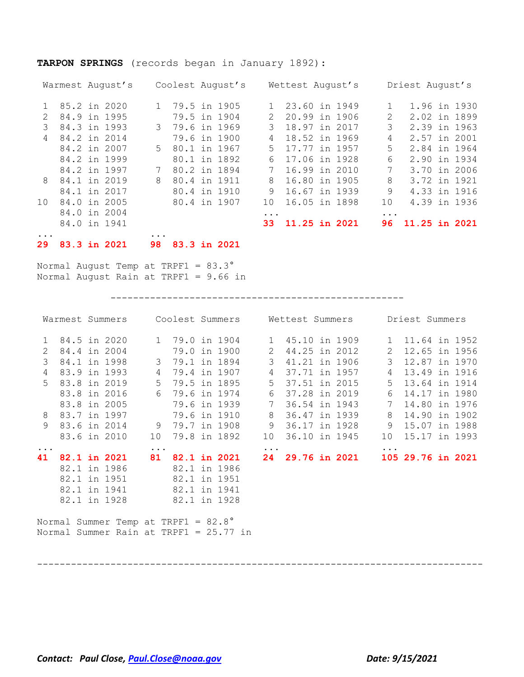### **TARPON SPRINGS** (records began in January 1892):

|                 | Warmest August's | Coolest August's              |             | Wettest August's |           | Driest August's  |
|-----------------|------------------|-------------------------------|-------------|------------------|-----------|------------------|
|                 | 1 85.2 in 2020   | 79.5 in 1905<br>$1 \quad$     |             | 23.60 in 1949    |           | 1.96 in 1930     |
|                 | 84.9 in 1995     | 79.5 in 1904                  | $2^{\circ}$ | 20.99 in 1906    | 2         | 2.02 in 1899     |
| 3               | 84.3 in 1993     | 79.6 in 1969<br>$\mathcal{B}$ | 3           | 18.97 in 2017    | 3         | 2.39 in 1963     |
| $\overline{4}$  | 84.2 in 2014     | 79.6 in 1900                  |             | 18.52 in 1969    | 4         | 2.57 in 2001     |
|                 | 84.2 in 2007     | 5 80.1 in 1967                | $5 -$       | 17.77 in 1957    | 5         | 2.84 in 1964     |
|                 | 84.2 in 1999     | 80.1 in 1892                  | 6           | 17.06 in 1928    | 6         | 2.90 in 1934     |
|                 | 84.2 in 1997     | 80.2 in 1894<br>7             | 7           | 16.99 in 2010    | 7         | 3.70 in 2006     |
|                 | 8 84.1 in 2019   | 80.4 in 1911<br>8             | 8           | 16.80 in 1905    | 8         | 3.72 in 1921     |
|                 | 84.1 in 2017     | 80.4 in 1910                  | 9           | 16.67 in 1939    | 9         | 4.33 in 1916     |
| 10 <sup>1</sup> | 84.0 in 2005     | 80.4 in 1907                  | 1 O         | 16.05 in 1898    | 10        | 4.39 in 1936     |
|                 | 84.0 in 2004     |                               | $\cdots$    |                  | $\ddotsc$ |                  |
|                 | 84.0 in 1941     |                               | 33          | 11.25 in 2021    |           | 96 11.25 in 2021 |
| $\ddotsc$       |                  | $\ddotsc$                     |             |                  |           |                  |

**29 83.3 in 2021 98 83.3 in 2021**

Normal August Temp at TRPF1 = 83.3° Normal August Rain at TRPF1 = 9.66 in

----------------------------------------------------

|                |                                        |  | Warmest Summers Coolest Summers Wettest Summers Driest Summers |                |                |                     |               |               |                      |             |                   |  |
|----------------|----------------------------------------|--|----------------------------------------------------------------|----------------|----------------|---------------------|---------------|---------------|----------------------|-------------|-------------------|--|
| 1              |                                        |  | 84.5 in 2020                                                   |                |                | 1 79.0 in 1904      |               |               | 1 45.10 in 1909      |             | 1 11.64 in 1952   |  |
| $\overline{2}$ | 84.4 in 2004                           |  |                                                                |                | 79.0 in 1900   |                     | 2             | 44.25 in 2012 |                      | 2           | 12.65 in 1956     |  |
| 3              |                                        |  | 84.1 in 1998                                                   | 3              | 79.1 in 1894   |                     | $\mathcal{S}$ | 41.21 in 1906 |                      | 3           | 12.87 in 1970     |  |
| 4              |                                        |  | 83.9 in 1993                                                   | $\overline{4}$ | 79.4 in 1907   |                     | 4             | 37.71 in 1957 |                      | 4           | 13.49 in 1916     |  |
| $5^{\circ}$    | 83.8 in 2019                           |  |                                                                |                | 5 79.5 in 1895 |                     | 5             | 37.51 in 2015 |                      | $5^{\circ}$ | 13.64 in 1914     |  |
|                |                                        |  | 83.8 in 2016                                                   |                | 6 79.6 in 1974 |                     | 6             | 37.28 in 2019 |                      | 6           | 14.17 in 1980     |  |
|                |                                        |  | 83.8 in 2005                                                   |                | 79.6 in 1939   |                     | 7             | 36.54 in 1943 |                      | 7           | 14.80 in 1976     |  |
| 8              | 83.7 in 1997                           |  |                                                                |                | 79.6 in 1910   |                     | 8             | 36.47 in 1939 |                      | 8           | 14.90 in 1902     |  |
| 9              |                                        |  | 83.6 in 2014                                                   |                | 9 79.7 in 1908 |                     | 9             | 36.17 in 1928 |                      | 9           | 15.07 in 1988     |  |
|                |                                        |  | 83.6 in 2010                                                   | 10             |                | 79.8 in 1892        | 10            | 36.10 in 1945 |                      | 10          | 15.17 in 1993     |  |
| $\ddots$       |                                        |  |                                                                | $\ddots$ .     |                |                     | $\ddots$      |               |                      |             |                   |  |
| 41             |                                        |  | <b>82.1 in 2021</b>                                            | 81             |                | <b>82.1 in 2021</b> | 24            |               | <b>29.76 in 2021</b> |             | 105 29.76 in 2021 |  |
|                |                                        |  | 82.1 in 1986                                                   |                | 82.1 in 1986   |                     |               |               |                      |             |                   |  |
|                |                                        |  | 82.1 in 1951                                                   |                | 82.1 in 1951   |                     |               |               |                      |             |                   |  |
|                |                                        |  | 82.1 in 1941                                                   |                | 82.1 in 1941   |                     |               |               |                      |             |                   |  |
|                |                                        |  | 82.1 in 1928                                                   |                | 82.1 in 1928   |                     |               |               |                      |             |                   |  |
|                |                                        |  | Normal Summer Temp at TRPF1 = 82.8°                            |                |                |                     |               |               |                      |             |                   |  |
|                | Normal Summer Rain at TRPF1 = 25.77 in |  |                                                                |                |                |                     |               |               |                      |             |                   |  |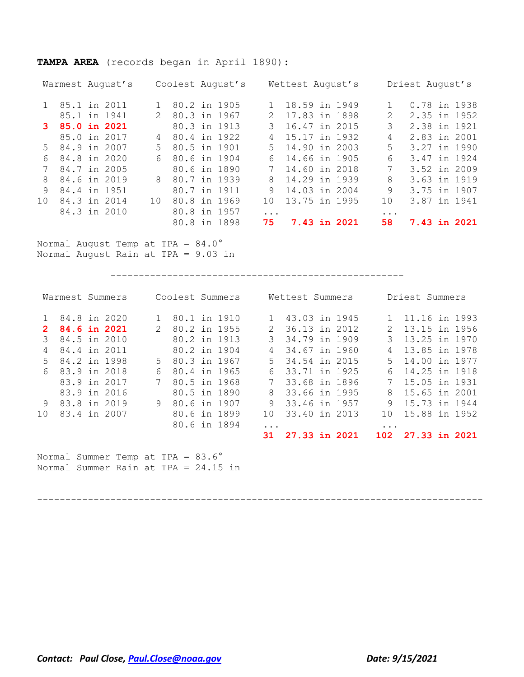# **TAMPA AREA** (records began in April 1890):

| Warmest August's  |              |             |              | Coolest August's |              | Wettest August's |  |           | Driest August's |  |              |
|-------------------|--------------|-------------|--------------|------------------|--------------|------------------|--|-----------|-----------------|--|--------------|
| 1 85.1 in 2011    |              |             | 80.2 in 1905 |                  |              | 18.59 in 1949    |  |           |                 |  | 0.78 in 1938 |
|                   | 85.1 in 1941 | $2^{\circ}$ | 80.3 in 1967 |                  | $\mathbf{2}$ | 17.83 in 1898    |  | 2         |                 |  | 2.35 in 1952 |
| 3 85.0 in 2021    |              |             | 80.3 in 1913 |                  |              | 16.47 in 2015    |  | 3         |                 |  | 2.38 in 1921 |
|                   | 85.0 in 2017 | 4           | 80.4 in 1922 |                  | 4            | 15.17 in 1932    |  | 4         |                 |  | 2.83 in 2001 |
| 5 84.9 in 2007    |              | $5 -$       | 80.5 in 1901 |                  | $5 -$        | 14.90 in 2003    |  | 5         |                 |  | 3.27 in 1990 |
| 84.8 in 2020<br>6 |              | 6           | 80.6 in 1904 |                  | 6            | 14.66 in 1905    |  | 6         |                 |  | 3.47 in 1924 |
|                   | 84.7 in 2005 |             | 80.6 in 1890 |                  |              | 14.60 in 2018    |  | 7         |                 |  | 3.52 in 2009 |
| 8                 | 84.6 in 2019 | 8           | 80.7 in 1939 |                  | 8            | 14.29 in 1939    |  | 8         |                 |  | 3.63 in 1919 |
| 9                 | 84.4 in 1951 |             | 80.7 in 1911 |                  | 9            | 14.03 in 2004    |  | 9         |                 |  | 3.75 in 1907 |
| 10 <sup>°</sup>   | 84.3 in 2014 | 10          | 80.8 in 1969 |                  | 1 O          | 13.75 in 1995    |  | 10        |                 |  | 3.87 in 1941 |
|                   | 84.3 in 2010 |             | 80.8 in 1957 |                  |              |                  |  | $\ddotsc$ |                 |  |              |
|                   |              |             |              | 80.8 in 1898     | 75.          | 7.43 in 2021     |  | 58        |                 |  | 7.43 in 2021 |

Normal August Temp at TPA = 84.0° Normal August Rain at TPA = 9.03 in

----------------------------------------------------

|                                                                           | Warmest Summers |  |              |             |                |  | Coolest Summers |               | Wettest Summers |  |              | Driest Summers    |  |
|---------------------------------------------------------------------------|-----------------|--|--------------|-------------|----------------|--|-----------------|---------------|-----------------|--|--------------|-------------------|--|
| 1.                                                                        | 84.8 in 2020    |  |              | 1           | 80.1 in 1910   |  |                 |               | 1 43.03 in 1945 |  |              | 1 11.16 in 1993   |  |
| $\mathbf{2}^{\circ}$                                                      |                 |  | 84.6 in 2021 | $2^{\circ}$ | 80.2 in 1955   |  |                 | $\mathbf{2}$  | 36.13 in 2012   |  | $\mathbf{2}$ | 13.15 in 1956     |  |
| 3                                                                         |                 |  | 84.5 in 2010 |             | 80.2 in 1913   |  |                 | $\mathcal{B}$ | 34.79 in 1909   |  | 3            | 13.25 in 1970     |  |
| 4                                                                         | 84.4 in 2011    |  |              |             | 80.2 in 1904   |  |                 | 4             | 34.67 in 1960   |  | 4            | 13.85 in 1978     |  |
| $5 -$                                                                     | 84.2 in 1998    |  |              | 5           | 80.3 in 1967   |  |                 | $5 -$         | 34.54 in 2015   |  | 5            | 14.00 in 1977     |  |
| 6                                                                         | 83.9 in 2018    |  |              | 6           | 80.4 in 1965   |  |                 | 6             | 33.71 in 1925   |  | 6            | 14.25 in 1918     |  |
|                                                                           |                 |  | 83.9 in 2017 | 7           | 80.5 in 1968   |  |                 |               | 7 33.68 in 1896 |  |              | 7 15.05 in 1931   |  |
|                                                                           |                 |  | 83.9 in 2016 |             | 80.5 in 1890   |  |                 | 8             | 33.66 in 1995   |  | 8            | 15.65 in 2001     |  |
| 9                                                                         | 83.8 in 2019    |  |              |             | 9 80.6 in 1907 |  |                 | 9             | 33.46 in 1957   |  | 9            | 15.73 in 1944     |  |
| 10                                                                        |                 |  | 83.4 in 2007 |             | 80.6 in 1899   |  |                 | 10            | 33.40 in 2013   |  | 10           | 15.88 in 1952     |  |
|                                                                           |                 |  |              |             | 80.6 in 1894   |  |                 | .             |                 |  | $\ddotsc$    |                   |  |
|                                                                           |                 |  |              |             |                |  |                 | 31            | 27.33 in 2021   |  |              | 102 27.33 in 2021 |  |
| Normal Summer Temp at TPA = 83.6°<br>Normal Summer Rain at TPA = 24.15 in |                 |  |              |             |                |  |                 |               |                 |  |              |                   |  |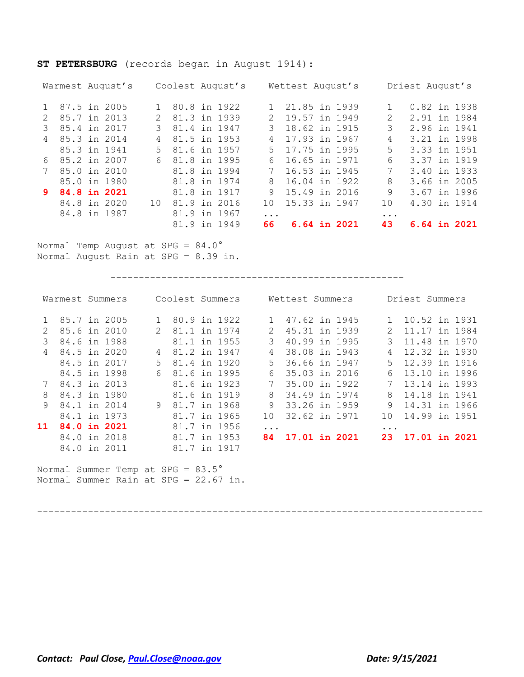### **ST PETERSBURG** (records began in August 1914):

| Warmest August's               |               | Coolest August's |                | Wettest August's |          | Driest August's |
|--------------------------------|---------------|------------------|----------------|------------------|----------|-----------------|
|                                |               |                  |                |                  |          |                 |
| 1 87.5 in 2005                 |               | 1 80.8 in 1922   |                | 1 21.85 in 1939  |          | 0.82 in 1938    |
| 85.7 in 2013<br>$\mathcal{L}$  | $\mathcal{L}$ | 81.3 in 1939     | $\mathcal{L}$  | 19.57 in 1949    | 2        | 2.91 in 1984    |
| 85.4 in 2017                   | $\mathcal{R}$ | 81.4 in 1947     |                | 18.62 in 1915    | 3        | 2.96 in 1941    |
| 85.3 in 2014<br>$\overline{4}$ | 4             | 81.5 in 1953     | $\overline{4}$ | 17.93 in 1967    | 4        | 3.21 in 1998    |
| 85.3 in 1941                   | 5             | 81.6 in 1957     | 5              | 17.75 in 1995    | 5        | 3.33 in 1951    |
| 6 85.2 in 2007                 | 6             | 81.8 in 1995     | 6              | 16.65 in 1971    | 6        | 3.37 in 1919    |
| 85.0 in 2010<br>7              |               | 81.8 in 1994     | 7              | 16.53 in 1945    | 7        | 3.40 in 1933    |
| 85.0 in 1980                   |               | 81.8 in 1974     | 8              | 16.04 in 1922    | 8        | 3.66 in 2005    |
| 9 84.8 in 2021                 |               | 81.8 in 1917     |                | 9 15.49 in 2016  | 9        | 3.67 in 1996    |
| 84.8 in 2020                   | 10            | 81.9 in 2016     | 1 O            | 15.33 in 1947    | 10       | 4.30 in 1914    |
| 84.8 in 1987                   |               | 81.9 in 1967     | .              |                  | $\ddots$ |                 |
|                                |               | 81.9 in 1949     | 66             | 6.64 in 2021     | 43       | 6.64 in 2021    |

Normal Temp August at SPG = 84.0° Normal August Rain at SPG = 8.39 in.

----------------------------------------------------

|              | Warmest Summers |                     | Coolest Summers |           | Wettest Summers |             | Driest Summers |
|--------------|-----------------|---------------------|-----------------|-----------|-----------------|-------------|----------------|
|              | 85.7 in 2005    |                     | 80.9 in 1922    |           | 47.62 in 1945   |             | 10.52 in 1931  |
|              | 85.6 in 2010    | $\mathcal{P} \quad$ | 81.1 in 1974    | 2         | 45.31 in 1939   | 2.          | 11.17 in 1984  |
| 3            | 84.6 in 1988    |                     | 81.1 in 1955    | 3         | 40.99 in 1995   | 3           | 11.48 in 1970  |
| 4            | 84.5 in 2020    | 4                   | 81.2 in 1947    | 4         | 38.08 in 1943   | 4           | 12.32 in 1930  |
|              | 84.5 in 2017    | 5.                  | 81.4 in 1920    | $5 -$     | 36.66 in 1947   | $5 -$       | 12.39 in 1916  |
|              | 84.5 in 1998    | 6                   | 81.6 in 1995    | 6.        | 35.03 in 2016   | 6           | 13.10 in 1996  |
|              | 84.3 in 2013    |                     | 81.6 in 1923    | 7         | 35.00 in 1922   | $7^{\circ}$ | 13.14 in 1993  |
| 8            | 84.3 in 1980    |                     | 81.6 in 1919    | 8         | 34.49 in 1974   | 8           | 14.18 in 1941  |
| $\mathsf{Q}$ | 84.1 in 2014    | 9                   | 81.7 in 1968    | 9         | 33.26 in 1959   | 9           | 14.31 in 1966  |
|              | 84.1 in 1973    |                     | 81.7 in 1965    | 1 N       | 32.62 in 1971   | 1 O         | 14.99 in 1951  |
| 11           | 84.0 in 2021    |                     | 81.7 in 1956    | $\ddotsc$ |                 | $\ddotsc$   |                |
|              | 84.0 in 2018    |                     | 81.7 in 1953    | 84.       | 17.01 in 2021   | 23          | 17.01 in 2021  |
|              | 84.0 in 2011    |                     | 81.7 in 1917    |           |                 |             |                |

Normal Summer Temp at SPG = 83.5° Normal Summer Rain at SPG = 22.67 in.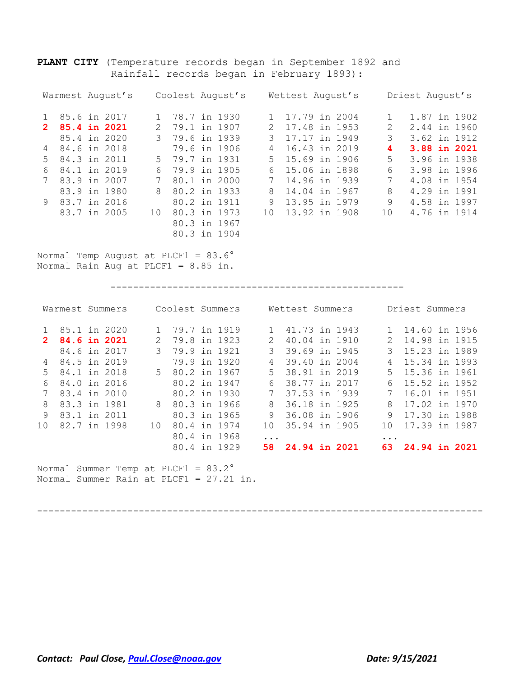**PLANT CITY** (Temperature records began in September 1892 and Rainfall records began in February 1893):

80.3 in 1904

|   | Warmest August's |               | Coolest August's |               | Wettest August's |               | Driest August's |
|---|------------------|---------------|------------------|---------------|------------------|---------------|-----------------|
|   | 85.6 in 2017     |               | 1 78.7 in 1930   |               | 1 17.79 in 2004  |               | 1.87 in 1902    |
|   | 2 85.4 in 2021   | $\mathcal{P}$ | 79.1 in 1907     | $\mathcal{P}$ | 17.48 in 1953    | $\mathcal{P}$ | 2.44 in 1960    |
|   | 85.4 in 2020     |               | 3 79.6 in 1939   | 3             | 17.17 in 1949    | 3             | 3.62 in 1912    |
|   | 4 84.6 in 2018   |               | 79.6 in 1906     | 4             | 16.43 in 2019    | 4             | 3.88 in 2021    |
|   | 5 84.3 in 2011   |               | 5 79.7 in 1931   |               | 5 15.69 in 1906  | 5             | 3.96 in 1938    |
| 6 | 84.1 in 2019     |               | 6 79.9 in 1905   |               | 6 15.06 in 1898  | 6             | 3.98 in 1996    |
|   | 83.9 in 2007     | 7             | 80.1 in 2000     | 7             | 14.96 in 1939    | 7             | 4.08 in 1954    |
|   | 83.9 in 1980     | 8             | 80.2 in 1933     | 8             | 14.04 in 1967    | 8             | 4.29 in 1991    |
|   | 9 83.7 in 2016   |               | 80.2 in 1911     | 9             | 13.95 in 1979    | 9             | 4.58 in 1997    |
|   | 83.7 in 2005     | 1 N           | 80.3 in 1973     | $10-1$        | 13.92 in 1908    | 1 O           | 4.76 in 1914    |
|   |                  |               | 80.3 in 1967     |               |                  |               |                 |

Normal Temp August at PLCF1 = 83.6° Normal Rain Aug at PLCF1 = 8.85 in.

----------------------------------------------------

|                      | Warmest Summers |               | Coolest Summers       |              |          | Wettest Summers      |  |          | Driest Summers |  |
|----------------------|-----------------|---------------|-----------------------|--------------|----------|----------------------|--|----------|----------------|--|
|                      | 85.1 in 2020    |               | 79.7 in 1919          |              |          | 41.73 in 1943        |  |          | 14.60 in 1956  |  |
| $\mathbf{2}^{\circ}$ | 84.6 in 2021    | $\mathcal{P}$ | 79.8 in 1923          |              |          | 40.04 in 1910        |  |          | 14.98 in 1915  |  |
|                      | 84.6 in 2017    | 3             | 79.9 in 1921          |              | 3        | 39.69 in 1945        |  | 3        | 15.23 in 1989  |  |
| 4                    | 84.5 in 2019    |               |                       | 79.9 in 1920 | 4        | 39.40 in 2004        |  | 4        | 15.34 in 1993  |  |
| 5.                   | 84.1 in 2018    |               | 80.2 in 1967<br>$5 -$ |              | .5       | 38.91 in 2019        |  | $5 -$    | 15.36 in 1961  |  |
| 6                    | 84.0 in 2016    |               | 80.2 in 1947          |              | 6        | 38.77 in 2017        |  | 6        | 15.52 in 1952  |  |
|                      | 83.4 in 2010    |               |                       | 80.2 in 1930 |          | 37.53 in 1939        |  |          | 16.01 in 1951  |  |
| 8                    | 83.3 in 1981    | 8             | 80.3 in 1966          |              | 8        | 36.18 in 1925        |  | 8        | 17.02 in 1970  |  |
| 9                    | 83.1 in 2011    |               |                       | 80.3 in 1965 | 9        | 36.08 in 1906        |  | 9        | 17.30 in 1988  |  |
| 1 O                  | 82.7 in 1998    | 1 N           |                       | 80.4 in 1974 | 1 N      | 35.94 in 1905        |  | 1 O      | 17.39 in 1987  |  |
|                      |                 |               |                       | 80.4 in 1968 | $\cdots$ |                      |  | $\cdots$ |                |  |
|                      |                 |               |                       | 80.4 in 1929 | 58.      | <b>24.94 in 2021</b> |  | 63       | 24.94 in 2021  |  |

Normal Summer Temp at PLCF1 = 83.2° Normal Summer Rain at PLCF1 = 27.21 in.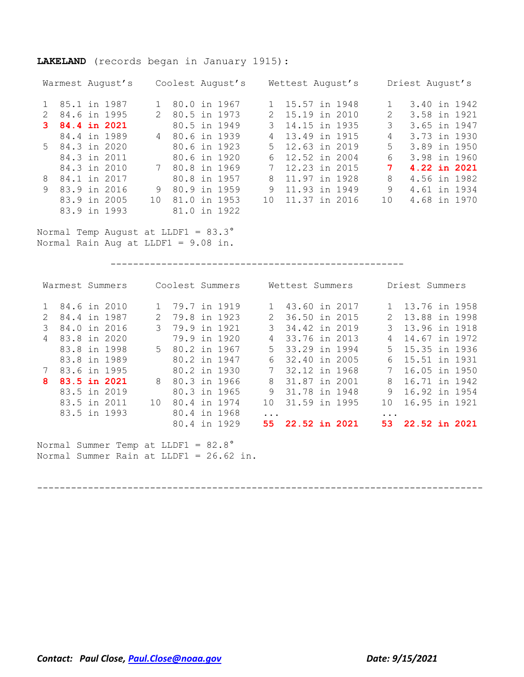### **LAKELAND** (records began in January 1915):

| Warmest August's  |               | Coolest August's |                | Wettest August's |               | Driest August's |
|-------------------|---------------|------------------|----------------|------------------|---------------|-----------------|
| 85.1 in 1987      |               | 80.0 in 1967     |                | 15.57 in 1948    |               | 3.40 in 1942    |
| 84.6 in 1995      | $\mathcal{L}$ | 80.5 in 1973     | 2.             | 15.19 in 2010    | $\mathcal{L}$ | 3.58 in 1921    |
| 84.4 in 2021      |               | 80.5 in 1949     |                | 14.15 in 1935    | 3             | 3.65 in 1947    |
| 84.4 in 1989      |               | 4 80.6 in 1939   | $\overline{4}$ | 13.49 in 1915    | 4             | 3.73 in 1930    |
| 5 84.3 in 2020    |               | 80.6 in 1923     | 5              | 12.63 in 2019    | 5             | 3.89 in 1950    |
| 84.3 in 2011      |               | 80.6 in 1920     | 6              | 12.52 in 2004    | 6             | 3.98 in 1960    |
| 84.3 in 2010      | 7             | 80.8 in 1969     | $7\phantom{0}$ | 12.23 in 2015    | 7             | 4.22 in 2021    |
| 84.1 in 2017<br>8 |               | 80.8 in 1957     | 8              | 11.97 in 1928    | 8             | 4.56 in 1982    |
| 83.9 in 2016<br>9 | 9             | 80.9 in 1959     | 9              | 11.93 in 1949    | 9             | 4.61 in 1934    |
| 83.9 in 2005      | 1 N           | $81.0$ in 1953   | 1 O            | 11.37 in 2016    | 1 O           | 4.68 in 1970    |
| 83.9 in 1993      |               | 81.0 in 1922     |                |                  |               |                 |

Normal Temp August at LLDF1 = 83.3° Normal Rain Aug at LLDF1 = 9.08 in.

----------------------------------------------------

|               | Warmest Summers |               | Coolest Summers                     |               | Wettest Summers  |                 | Driest Summers   |
|---------------|-----------------|---------------|-------------------------------------|---------------|------------------|-----------------|------------------|
|               | 84.6 in 2010    | $\mathbf{1}$  | 79.7 in 1919                        |               | 1 43.60 in 2017  |                 | 13.76 in 1958    |
| $\mathcal{L}$ | 84.4 in 1987    | $\mathcal{L}$ | 79.8 in 1923                        | $2^{\circ}$   | 36.50 in 2015    | $2^{\circ}$     | 13.88 in 1998    |
| 3             | 84.0 in 2016    |               | 3 79.9 in 1921                      | $\mathcal{B}$ | 34.42 in 2019    | $\mathcal{R}$   | 13.96 in 1918    |
| 4             | 83.8 in 2020    |               | 79.9 in 1920                        | 4             | 33.76 in 2013    | 4               | 14.67 in 1972    |
|               | 83.8 in 1998    |               | 5 80.2 in 1967                      |               | 5 33.29 in 1994  |                 | 5 15.35 in 1936  |
|               | 83.8 in 1989    |               | 80.2 in 1947                        | 6             | 32.40 in 2005    |                 | 6 15.51 in 1931  |
|               | 83.6 in 1995    |               | 80.2 in 1930                        |               | 32.12 in 1968    |                 | 16.05 in 1950    |
| 8             | 83.5 in 2021    | 8             | 80.3 in 1966                        |               | 8 31.87 in 2001  | 8               | 16.71 in 1942    |
|               | 83.5 in 2019    |               | 80.3 in 1965                        | 9             | 31.78 in 1948    | 9               | 16.92 in 1954    |
|               | 83.5 in 2011    | 1 O           | 80.4 in 1974                        | 1 O           | 31.59 in 1995    | 10 <sup>1</sup> | 16.95 in 1921    |
|               | 83.5 in 1993    |               | 80.4 in 1968                        | $\ddotsc$     |                  | $\ddotsc$       |                  |
|               |                 |               | 80.4 in 1929                        |               | 55 22.52 in 2021 |                 | 53 22.52 in 2021 |
|               |                 |               | Normal Summer Temp at LLDF1 = 82.8° |               |                  |                 |                  |

-------------------------------------------------------------------------------

Normal Summer Rain at LLDF1 = 26.62 in.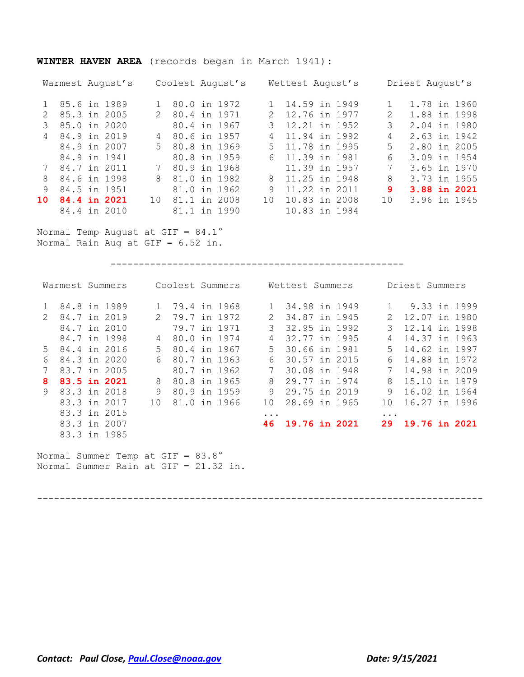### **WINTER HAVEN AREA** (records began in March 1941):

|    | Warmest August's |             | Coolest August's |                 | Wettest August's |                                                                                                                                                                 | Driest August's |
|----|------------------|-------------|------------------|-----------------|------------------|-----------------------------------------------------------------------------------------------------------------------------------------------------------------|-----------------|
|    | 1 85.6 in 1989   |             | 1 80.0 in 1972   |                 | 14.59 in 1949    |                                                                                                                                                                 | 1.78 in 1960    |
|    | 85.3 in 2005     | $2^{\circ}$ | 80.4 in 1971     |                 | 12.76 in 1977    | $\mathcal{D}_{\mathcal{L}}^{\mathcal{L}}(\mathcal{L})=\mathcal{L}_{\mathcal{L}}^{\mathcal{L}}(\mathcal{L})\mathcal{L}_{\mathcal{L}}^{\mathcal{L}}(\mathcal{L})$ | 1.88 in 1998    |
|    | 85.0 in 2020     |             | 80.4 in 1967     |                 | 12.21 in 1952    | 3                                                                                                                                                               | 2.04 in 1980    |
|    | 4 84.9 in 2019   | 4           | 80.6 in 1957     | 4               | 11.94 in 1992    | 4                                                                                                                                                               | 2.63 in 1942    |
|    | 84.9 in 2007     |             | 5 80.8 in 1969   |                 | 5 11.78 in 1995  | 5                                                                                                                                                               | 2.80 in 2005    |
|    | 84.9 in 1941     |             | 80.8 in 1959     |                 | 6 11.39 in 1981  | 6                                                                                                                                                               | 3.09 in 1954    |
|    | 7 84.7 in 2011   | $7^{\circ}$ | 80.9 in 1968     |                 | 11.39 in 1957    | 7                                                                                                                                                               | 3.65 in 1970    |
| 8  | 84.6 in 1998     | 8           | 81.0 in 1982     | 8               | 11.25 in 1948    | 8                                                                                                                                                               | 3.73 in 1955    |
| 9  | 84.5 in 1951     |             | 81.0 in 1962     | 9               | 11.22 in 2011    | 9                                                                                                                                                               | 3.88 in 2021    |
| 10 | 84.4 in 2021     | 10          | 81.1 in 2008     | 10 <sup>1</sup> | 10.83 in 2008    | 10                                                                                                                                                              | 3.96 in 1945    |
|    | 84.4 in 2010     |             | 81.1 in 1990     |                 | 10.83 in 1984    |                                                                                                                                                                 |                 |

Normal Temp August at GIF = 84.1° Normal Rain Aug at GIF = 6.52 in.

----------------------------------------------------

| Warmest Summers                                       | Coolest Summers               | Wettest Summers            | Driest Summers         |
|-------------------------------------------------------|-------------------------------|----------------------------|------------------------|
| 84.8 in 1989                                          | 79.4 in 1968                  | 34.98 in 1949              | 9.33 in 1999           |
| 84.7 in 2019<br>$\mathcal{P}$                         | 79.7 in 1972<br>$\mathcal{L}$ | 34.87 in 1945              | 12.07 in 1980<br>2     |
| 84.7 in 2010                                          | 79.7 in 1971                  | 3<br>32.95 in 1992         | 3<br>12.14 in 1998     |
| 84.7 in 1998                                          | 80.0 in 1974<br>4             | 32.77 in 1995<br>4         | 14.37 in 1963<br>4     |
| 5 84.4 in 2016                                        | $5 -$<br>80.4 in 1967         | 30.66 in 1981<br>5         | $5 -$<br>14.62 in 1997 |
| 84.3 in 2020<br>6                                     | 80.7 in 1963<br>6             | 30.57 in 2015<br>6         | 14.88 in 1972<br>6     |
| 83.7 in 2005                                          | 80.7 in 1962                  | 7<br>30.08 in 1948         | 14.98 in 2009          |
| 83.5 in 2021<br>8.                                    | 8<br>80.8 in 1965             | 29.77 in 1974<br>8         | 15.10 in 1979<br>8     |
| 83.3 in 2018<br>9                                     | 9<br>80.9 in 1959             | 29.75 in 2019<br>9         | 16.02 in 1964<br>9     |
| 83.3 in 2017                                          | 81.0 in 1966<br>1 O           | 28.69 in 1965<br>1 O       | 16.27 in 1996<br>1 O   |
| 83.3 in 2015                                          |                               | $\ddotsc$                  | $\ddotsc$              |
| 83.3 in 2007                                          |                               | <b>19.76 in 2021</b><br>46 | 19.76 in 2021<br>29    |
| 83.3 in 1985                                          |                               |                            |                        |
| $M$ ouncl Cummon Homm of $C_{\text{TT}} = 0.2 \, 0.2$ |                               |                            |                        |

Normal Summer Temp at GIF = 83.8° Normal Summer Rain at GIF = 21.32 in.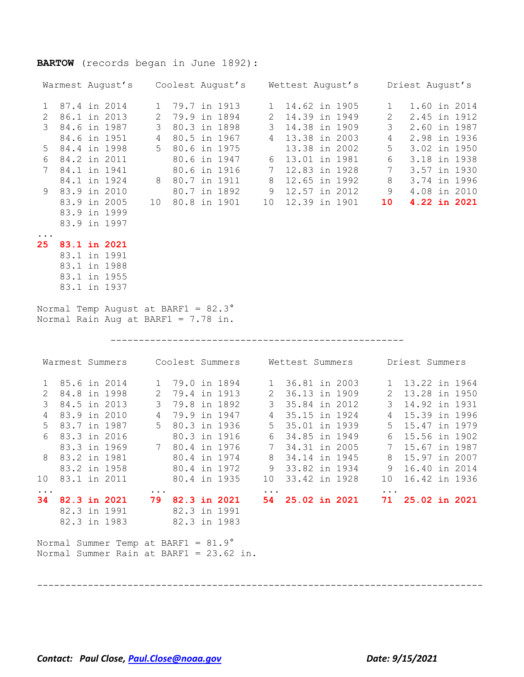# **BARTOW** (records began in June 1892):

|                                   |              |                                            |                                     |                 | Warmest August's Coolest August's Wettest August's Driest August's                                                                                                                                                                                                                                                                                 |                         |  |                  |                 |                                                              |              |
|-----------------------------------|--------------|--------------------------------------------|-------------------------------------|-----------------|----------------------------------------------------------------------------------------------------------------------------------------------------------------------------------------------------------------------------------------------------------------------------------------------------------------------------------------------------|-------------------------|--|------------------|-----------------|--------------------------------------------------------------|--------------|
| 1                                 |              |                                            |                                     |                 | 87.4 in 2014 1 79.7 in 1913 1 14.62 in 1905 1 1.60 in 2014                                                                                                                                                                                                                                                                                         |                         |  |                  |                 |                                                              |              |
| $\mathbf{2}$                      |              |                                            |                                     |                 | 86.1 in 2013 2 79.9 in 1894 2                                                                                                                                                                                                                                                                                                                      |                         |  | 14.39 in 1949    | $2^{\circ}$     | 2.45 in 1912                                                 |              |
| 3                                 |              | 84.6 in 1987 3 80.3 in 1898                |                                     |                 |                                                                                                                                                                                                                                                                                                                                                    | $\overline{\mathbf{3}}$ |  | 14.38 in 1909    | 3 <sup>7</sup>  |                                                              | 2.60 in 1987 |
|                                   |              | 84.6 in 1951 4 80.5 in 1967                |                                     |                 |                                                                                                                                                                                                                                                                                                                                                    | $\overline{4}$          |  |                  | 13.38 in 2003 4 | 2.98 in 1936                                                 |              |
| 5                                 |              | 84.4 in 1998 5 80.6 in 1975                |                                     |                 |                                                                                                                                                                                                                                                                                                                                                    |                         |  |                  |                 | 13.38 in 2002 5 3.02 in 1950                                 |              |
| 6                                 | 84.2 in 2011 |                                            |                                     |                 | 80.6 in 1947                                                                                                                                                                                                                                                                                                                                       |                         |  |                  |                 | 6 13.01 in 1981 6 3.18 in 1938                               |              |
| $7\overline{ }$                   |              |                                            |                                     |                 |                                                                                                                                                                                                                                                                                                                                                    |                         |  |                  |                 | 12.83 in 1928 7 3.57 in 1930<br>12.65 in 1992 8 3.74 in 1996 |              |
|                                   |              |                                            |                                     |                 |                                                                                                                                                                                                                                                                                                                                                    |                         |  |                  |                 |                                                              |              |
| 9                                 | 83.9 in 2010 |                                            |                                     |                 |                                                                                                                                                                                                                                                                                                                                                    |                         |  |                  |                 |                                                              |              |
|                                   |              |                                            |                                     |                 | 84.1 in 1941 80.6 in 1916 7 12.83 in 1928 7 3.57 in 1930<br>84.1 in 1924 8 80.7 in 1911 8 12.65 in 1992 8 3.74 in 1996<br>83.9 in 2010 80.7 in 1892 9 12.57 in 2012 9 4.08 in 2010<br>83.9 in 2005 10 80.8 in 1901 10 12.39 in 1901 10                                                                                                             |                         |  |                  |                 |                                                              |              |
|                                   | 83.9 in 1999 |                                            |                                     |                 |                                                                                                                                                                                                                                                                                                                                                    |                         |  |                  |                 |                                                              |              |
|                                   | 83.9 in 1997 |                                            |                                     |                 |                                                                                                                                                                                                                                                                                                                                                    |                         |  |                  |                 |                                                              |              |
| $\cdots$<br>25 <sub>2</sub>       | 83.1 in 2021 |                                            |                                     |                 |                                                                                                                                                                                                                                                                                                                                                    |                         |  |                  |                 |                                                              |              |
|                                   | 83.1 in 1991 |                                            |                                     |                 |                                                                                                                                                                                                                                                                                                                                                    |                         |  |                  |                 |                                                              |              |
|                                   | 83.1 in 1988 |                                            |                                     |                 |                                                                                                                                                                                                                                                                                                                                                    |                         |  |                  |                 |                                                              |              |
|                                   | 83.1 in 1955 |                                            |                                     |                 |                                                                                                                                                                                                                                                                                                                                                    |                         |  |                  |                 |                                                              |              |
|                                   | 83.1 in 1937 |                                            |                                     |                 |                                                                                                                                                                                                                                                                                                                                                    |                         |  |                  |                 |                                                              |              |
|                                   |              | Normal Temp August at BARF1 = $82.3^\circ$ |                                     |                 |                                                                                                                                                                                                                                                                                                                                                    |                         |  |                  |                 |                                                              |              |
|                                   |              |                                            |                                     |                 |                                                                                                                                                                                                                                                                                                                                                    |                         |  |                  |                 |                                                              |              |
|                                   |              | Normal Rain Aug at BARF1 = 7.78 in.        |                                     |                 |                                                                                                                                                                                                                                                                                                                                                    |                         |  |                  |                 |                                                              |              |
|                                   |              |                                            |                                     |                 |                                                                                                                                                                                                                                                                                                                                                    |                         |  |                  |                 |                                                              |              |
|                                   |              |                                            |                                     |                 |                                                                                                                                                                                                                                                                                                                                                    |                         |  |                  |                 |                                                              |              |
|                                   |              |                                            |                                     |                 | Warmest Summers Coolest Summers Wettest Summers Driest Summers                                                                                                                                                                                                                                                                                     |                         |  |                  |                 |                                                              |              |
| $\mathbf{1}$                      |              |                                            |                                     |                 | 85.6 in 2014    1  79.0 in 1894    1  36.81 in 2003                                                                                                                                                                                                                                                                                                |                         |  |                  |                 | 1 13.22 in 1964                                              |              |
| $\overline{2}$                    |              |                                            |                                     |                 | 84.8 in 1998 2 79.4 in 1913 2 36.13 in 1909                                                                                                                                                                                                                                                                                                        |                         |  |                  | $\overline{2}$  | 13.28 in 1950                                                |              |
| 3                                 |              |                                            |                                     |                 | 84.5 in 2013 3 79.8 in 1892 3                                                                                                                                                                                                                                                                                                                      |                         |  | 35.84 in 2012 3  |                 | 14.92 in 1931                                                |              |
| $\overline{4}$                    |              |                                            |                                     |                 | 83.9 in 2010  4 79.9 in 1947  4                                                                                                                                                                                                                                                                                                                    |                         |  | 35.15 in 1924 4  |                 | 15.39 in 1996                                                |              |
| 5                                 |              | 83.7 in 1987                               |                                     |                 | 5 80.3 in 1936 5                                                                                                                                                                                                                                                                                                                                   |                         |  | 35.01 in 1939 5  |                 | 15.47 in 1979                                                |              |
| 6                                 |              |                                            |                                     |                 |                                                                                                                                                                                                                                                                                                                                                    |                         |  |                  |                 | 15.56 in 1902                                                |              |
|                                   |              |                                            |                                     |                 |                                                                                                                                                                                                                                                                                                                                                    |                         |  |                  |                 | 15.67 in 1987                                                |              |
| 8                                 | 83.2 in 1981 |                                            |                                     |                 | 83.3 in 2016<br>80.3 in 1916<br>83.3 in 1969<br>7 80.4 in 1976<br>83.3 in 1969<br>83.3 in 1969<br>80.4 in 1976<br>83.3 in 1969<br>80.4 in 1976<br>83.3 in 1969<br>80.4 in 1976<br>83.3 in 1969<br>80.4 in 1976<br>83.3 in 1969<br>80.4 in 1976<br>83.3 in 19<br>7 80.4 in 1976 7 34.31 in 2005 7<br>80.4 in 1974 8 34.14 in 1945 8<br>80.4 in 1974 |                         |  |                  |                 | 8 15.97 in 2007                                              |              |
|                                   |              | 83.2 in 1958                               |                                     | 80.4 in 1972    |                                                                                                                                                                                                                                                                                                                                                    |                         |  | 9 33.82 in 1934  |                 | 9 16.40 in 2014                                              |              |
|                                   |              | 10 83.1 in 2011                            |                                     |                 | 80.4 in 1935                                                                                                                                                                                                                                                                                                                                       |                         |  | 10 33.42 in 1928 |                 | 10 16.42 in 1936                                             |              |
| $\bullet$ , $\bullet$ , $\bullet$ |              |                                            | $\bullet$ , $\bullet$ , $\bullet$ . |                 |                                                                                                                                                                                                                                                                                                                                                    | $\cdots$                |  |                  | $\ddotsc$ .     |                                                              |              |
| 34                                |              | 82.3 in 2021                               |                                     | 79 82.3 in 2021 |                                                                                                                                                                                                                                                                                                                                                    |                         |  | 54 25.02 in 2021 |                 | 71 25.02 in 2021                                             |              |
|                                   |              | 82.3 in 1991                               |                                     | 82.3 in 1991    |                                                                                                                                                                                                                                                                                                                                                    |                         |  |                  |                 |                                                              |              |
|                                   |              | 82.3 in 1983 82.3 in 1983                  |                                     |                 |                                                                                                                                                                                                                                                                                                                                                    |                         |  |                  |                 |                                                              |              |
|                                   |              | Normal Summer Temp at BARF1 = $81.9^\circ$ |                                     |                 |                                                                                                                                                                                                                                                                                                                                                    |                         |  |                  |                 |                                                              |              |

-------------------------------------------------------------------------------

*Contact: Paul Close, [Paul.Close@noaa.gov](mailto:Paul.Close@noaa.gov) Date: 9/15/2021*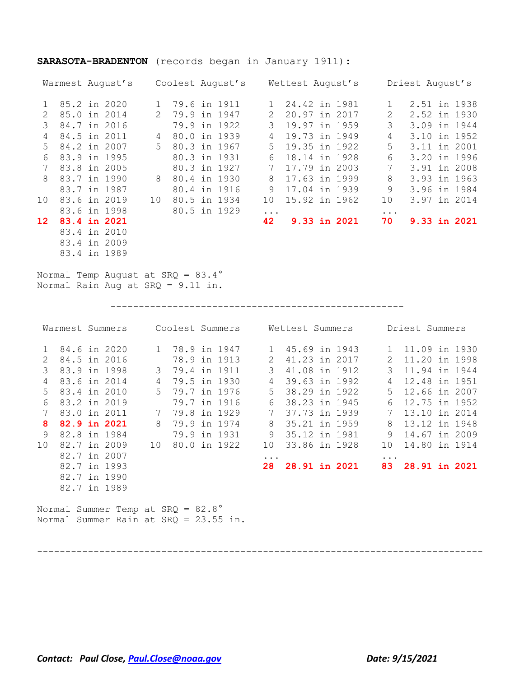### **SARASOTA-BRADENTON** (records began in January 1911):

|                 | Warmest August's |  |               |              | Coolest August's |                 | Wettest August's |  |          | Driest August's |              |
|-----------------|------------------|--|---------------|--------------|------------------|-----------------|------------------|--|----------|-----------------|--------------|
|                 | 85.2 in 2020     |  | $\mathbf{1}$  | 79.6 in 1911 |                  |                 | 24.42 in 1981    |  |          | 2.51 in 1938    |              |
| $\mathcal{P}$   | 85.0 in 2014     |  | $\mathcal{L}$ | 79.9 in 1947 |                  | $\mathcal{L}$   | 20.97 in 2017    |  | 2        | 2.52 in 1930    |              |
|                 | 84.7 in 2016     |  |               |              | 79.9 in 1922     | 3               | 19.97 in 1959    |  | 3        | 3.09 in 1944    |              |
| 4               | 84.5 in 2011     |  | 4             | 80.0 in 1939 |                  | 4               | 19.73 in 1949    |  | 4        |                 | 3.10 in 1952 |
| 5.              | 84.2 in 2007     |  | 5             | 80.3 in 1967 |                  | $5 -$           | 19.35 in 1922    |  | 5        | 3.11 in 2001    |              |
| 6               | 83.9 in 1995     |  |               | 80.3 in 1931 |                  | 6               | 18.14 in 1928    |  | 6        |                 | 3.20 in 1996 |
|                 | 83.8 in 2005     |  |               | 80.3 in 1927 |                  | 7               | 17.79 in 2003    |  | 7        | 3.91 in 2008    |              |
| 8               | 83.7 in 1990     |  | 8             | 80.4 in 1930 |                  | 8               | 17.63 in 1999    |  | 8        | 3.93 in 1963    |              |
|                 | 83.7 in 1987     |  |               | 80.4 in 1916 |                  | 9               | 17.04 in 1939    |  | 9        | 3.96 in 1984    |              |
| 10 <sup>°</sup> | 83.6 in 2019     |  | 10            | 80.5 in 1934 |                  | 10 <sup>°</sup> | 15.92 in 1962    |  | 10       | 3.97 in 2014    |              |
|                 | 83.6 in 1998     |  |               | 80.5 in 1929 |                  | $\ddotsc$       |                  |  | $\ddots$ |                 |              |
| 12              | 83.4 in 2021     |  |               |              |                  | 42              | 9.33 in 2021     |  | 70       |                 | 9.33 in 2021 |
|                 | 83.4 in 2010     |  |               |              |                  |                 |                  |  |          |                 |              |
|                 | 83.4 in 2009     |  |               |              |                  |                 |                  |  |          |                 |              |

Normal Temp August at SRQ = 83.4° Normal Rain Aug at SRQ = 9.11 in.

83.4 in 1989

----------------------------------------------------

|                |              | Warmest Summers                       |                 |                |                | Coolest Summers Mettest Summers |                      |  |          | Driest Summers   |  |
|----------------|--------------|---------------------------------------|-----------------|----------------|----------------|---------------------------------|----------------------|--|----------|------------------|--|
| $\mathbf{1}$   |              | 84.6 in 2020                          |                 |                | 1 78.9 in 1947 |                                 | 1 45.69 in 1943      |  |          | 1 11.09 in 1930  |  |
| $\overline{2}$ |              | 84.5 in 2016                          |                 | 78.9 in 1913   |                | 2                               | 41.23 in 2017        |  | 2        | 11.20 in 1998    |  |
| 3              | 83.9 in 1998 |                                       |                 | 3 79.4 in 1911 |                | 3                               | 41.08 in 1912        |  | 3        | 11.94 in 1944    |  |
| 4              | 83.6 in 2014 |                                       | 4               | 79.5 in 1930   |                | $\overline{4}$                  | 39.63 in 1992        |  | 4        | 12.48 in 1951    |  |
| 5              | 83.4 in 2010 |                                       | 5               | 79.7 in 1976   |                | $5 -$                           | 38.29 in 1922        |  | $5 -$    | 12.66 in 2007    |  |
| 6              | 83.2 in 2019 |                                       |                 | 79.7 in 1916   |                | 6                               | 38.23 in 1945        |  | 6        | 12.75 in 1952    |  |
|                | 83.0 in 2011 |                                       |                 | 7 79.8 in 1929 |                | $7\phantom{0}$                  | 37.73 in 1939        |  | 7        | 13.10 in 2014    |  |
| 8              | 82.9 in 2021 |                                       | 8               | 79.9 in 1974   |                | 8                               | 35.21 in 1959        |  | 8        | 13.12 in 1948    |  |
| 9              | 82.8 in 1984 |                                       |                 | 79.9 in 1931   |                | 9                               | 35.12 in 1981        |  | 9        | 14.67 in 2009    |  |
| 10             | 82.7 in 2009 |                                       | 10 <sup>°</sup> | 80.0 in 1922   |                | 10                              | 33.86 in 1928        |  | 10       | 14.80 in 1914    |  |
|                | 82.7 in 2007 |                                       |                 |                |                | $\cdots$                        |                      |  | $\cdots$ |                  |  |
|                | 82.7 in 1993 |                                       |                 |                |                | 28                              | <b>28.91 in 2021</b> |  |          | 83 28.91 in 2021 |  |
|                |              | 82.7 in 1990                          |                 |                |                |                                 |                      |  |          |                  |  |
|                | 82.7 in 1989 |                                       |                 |                |                |                                 |                      |  |          |                  |  |
|                |              |                                       |                 |                |                |                                 |                      |  |          |                  |  |
|                |              | Normal Summer Temp at SRQ = 82.8°     |                 |                |                |                                 |                      |  |          |                  |  |
|                |              | Normal Summer Rain at SRQ = 23.55 in. |                 |                |                |                                 |                      |  |          |                  |  |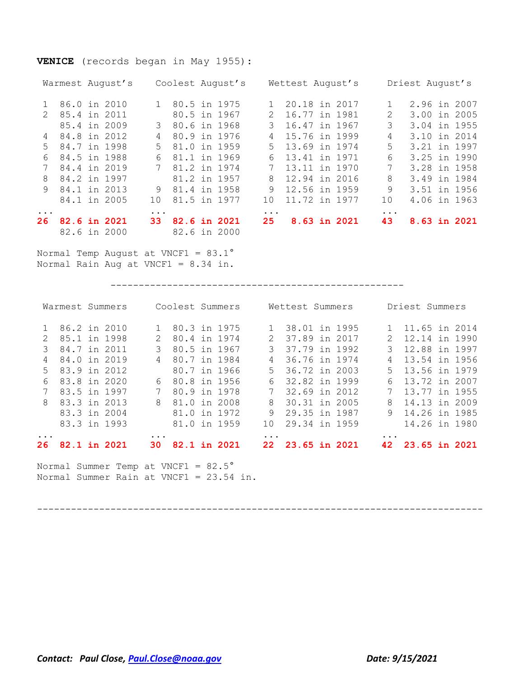### **VENICE** (records began in May 1955):

|               | Warmest August's             | Coolest August's                    |               | Wettest August's |          | Driest August's |  |
|---------------|------------------------------|-------------------------------------|---------------|------------------|----------|-----------------|--|
|               | 86.0 in 2010                 | 80.5 in 1975<br>1                   |               | 20.18 in 2017    |          | 2.96 in 2007    |  |
| $\mathcal{P}$ | 85.4 in 2011                 | 80.5 in 1967                        | $\mathcal{L}$ | 16.77 in 1981    | 2        | 3.00 in 2005    |  |
|               | 85.4 in 2009                 | 80.6 in 1968<br>3                   | 3             | 16.47 in 1967    | 3        | 3.04 in 1955    |  |
| 4             | 84.8 in 2012                 | 80.9 in 1976<br>4                   | 4             | 15.76 in 1999    | 4        | 3.10 in 2014    |  |
| $5 -$         | 84.7 in 1998                 | $5 -$<br>81.0 in 1959               | .5            | 13.69 in 1974    | 5        | 3.21 in 1997    |  |
| 6             | 84.5 in 1988                 | 81.1 in 1969<br>6                   | 6             | 13.41 in 1971    | 6        | 3.25 in 1990    |  |
|               | 84.4 in 2019                 | 7 81.2 in 1974                      | 7             | 13.11 in 1970    | 7        | 3.28 in 1958    |  |
| 8             | 84.2 in 1997                 | 81.2 in 1957                        | 8             | 12.94 in 2016    | 8        | 3.49 in 1984    |  |
| $\mathsf{Q}$  | 84.1 in 2013                 | 81.4 in 1958<br>9                   | 9             | 12.56 in 1959    | 9        | 3.51 in 1956    |  |
|               | 84.1 in 2005                 | 81.5 in 1977<br>1 O                 | 10            | 11.72 in 1977    | 10       | 4.06 in 1963    |  |
| $\ddots$ .    |                              | $\ddots$ .                          | $\ddotsc$     |                  | $\ddots$ |                 |  |
| 26 -          | 82.6 in 2021<br>82.6 in 2000 | 82.6 in 2021<br>33.<br>82.6 in 2000 | 25            | 8.63 in 2021     | 43       | 8.63 in 2021    |  |

Normal Temp August at VNCF1 = 83.1° Normal Rain Aug at VNCF1 = 8.34 in.

----------------------------------------------------

|               | Warmest Summers |               | Coolest Summers |  |               | Wettest Summers |  |               | Driest Summers |  |
|---------------|-----------------|---------------|-----------------|--|---------------|-----------------|--|---------------|----------------|--|
|               | 86.2 in 2010    | $\mathbf{1}$  | 80.3 in 1975    |  |               | 38.01 in 1995   |  |               | 11.65 in 2014  |  |
| $\mathcal{P}$ | 85.1 in 1998    | $\mathcal{P}$ | 80.4 in 1974    |  | $\mathcal{P}$ | 37.89 in 2017   |  | $\mathcal{P}$ | 12.14 in 1990  |  |
|               | 84.7 in 2011    |               | 80.5 in 1967    |  |               | 37.79 in 1992   |  |               | 12.88 in 1997  |  |
| 4             | 84.0 in 2019    | 4             | 80.7 in 1984    |  | 4             | 36.76 in 1974   |  |               | 13.54 in 1956  |  |
| $5 -$         | 83.9 in 2012    |               | 80.7 in 1966    |  | 5.            | 36.72 in 2003   |  | .5            | 13.56 in 1979  |  |
| 6             | 83.8 in 2020    | 6             | 80.8 in 1956    |  | 6             | 32.82 in 1999   |  | 6             | 13.72 in 2007  |  |
|               | 83.5 in 1997    |               | 80.9 in 1978    |  | 7             | 32.69 in 2012   |  | 7             | 13.77 in 1955  |  |
| 8             | 83.3 in 2013    | 8             | 81.0 in 2008    |  | 8             | 30.31 in 2005   |  | 8             | 14.13 in 2009  |  |
|               | 83.3 in 2004    |               | 81.0 in 1972    |  | 9             | 29.35 in 1987   |  | 9             | 14.26 in 1985  |  |
|               | 83.3 in 1993    |               | 81.0 in 1959    |  | 1 N           | 29.34 in 1959   |  |               | 14.26 in 1980  |  |
| $\cdots$      |                 | $\cdots$      |                 |  | $\cdots$      |                 |  | $\cdots$      |                |  |
| 26.           | 82.1 in 2021    | 30.           | 82.1 in 2021    |  | 22.           | 23.65 in 2021   |  | 42            | 23.65 in 2021  |  |

Normal Summer Temp at VNCF1 = 82.5° Normal Summer Rain at VNCF1 = 23.54 in.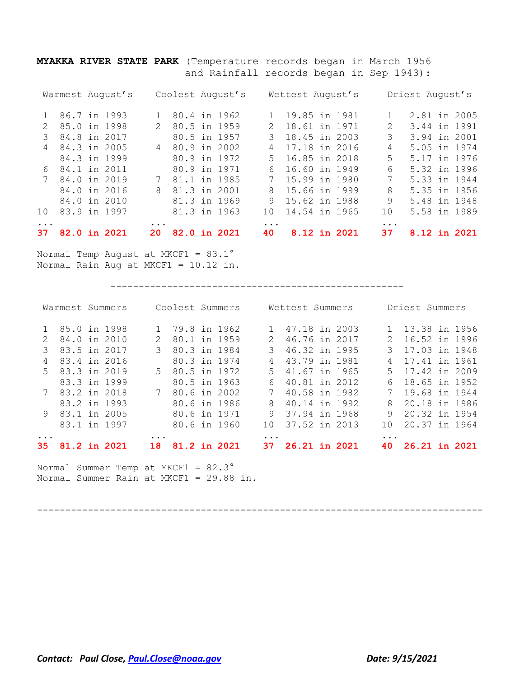**MYAKKA RIVER STATE PARK** (Temperature records began in March 1956 and Rainfall records began in Sep 1943):

| 37.             | 82.0 in 2021     | 82.0 in 2021<br><b>20</b> | 8.12 in 2021<br>40             | 8.12 in 2021<br>37                                                                                                                                                              |
|-----------------|------------------|---------------------------|--------------------------------|---------------------------------------------------------------------------------------------------------------------------------------------------------------------------------|
|                 |                  | $\ddots$ .                | $\ddots$ .                     |                                                                                                                                                                                 |
| 10 <sup>1</sup> | 83.9 in 1997     | 81.3 in 1963              | 14.54 in 1965<br>$10^{-}$      | 5.58 in 1989<br>10                                                                                                                                                              |
|                 | 84.0 in 2010     | 81.3 in 1969              | 9<br>15.62 in 1988             | 9<br>5.48 in 1948                                                                                                                                                               |
|                 | 84.0 in 2016     | 81.3 in 2001<br>8         | 15.66 in 1999<br>8             | 8<br>5.35 in 1956                                                                                                                                                               |
|                 | 7 84.0 in 2019   | 81.1 in 1985<br>7         | 15.99 in 1980<br>7             | 7<br>5.33 in 1944                                                                                                                                                               |
|                 | 6 84.1 in 2011   | 80.9 in 1971              | 16.60 in 1949<br>რ —           | 6<br>5.32 in 1996                                                                                                                                                               |
|                 | 84.3 in 1999     | 80.9 in 1972              | 16.85 in 2018<br>$5 -$         | 5.17 in 1976<br>5                                                                                                                                                               |
| $\overline{4}$  | 84.3 in 2005     | 4 80.9 in 2002            | 17.18 in 2016<br>4             | 5.05 in 1974<br>4                                                                                                                                                               |
|                 | 84.8 in 2017     | 80.5 in 1957              | 18.45 in 2003<br>$\mathcal{E}$ | 3<br>3.94 in 2001                                                                                                                                                               |
| $\mathcal{P}$   | 85.0 in 1998     | 2 80.5 in 1959            | 18.61 in 1971<br>$2^{\circ}$   | 3.44 in 1991<br>$\mathcal{D}_{\mathcal{L}}^{\mathcal{L}}(\mathcal{L})=\mathcal{L}_{\mathcal{L}}^{\mathcal{L}}(\mathcal{L})\mathcal{L}_{\mathcal{L}}^{\mathcal{L}}(\mathcal{L})$ |
|                 | 86.7 in 1993     | 1 80.4 in 1962            | 1 19.85 in 1981                | 2.81 in 2005                                                                                                                                                                    |
|                 | Warmest August's | Coolest August's          | Wettest August's               | Driest August's                                                                                                                                                                 |
|                 |                  |                           |                                |                                                                                                                                                                                 |

Normal Temp August at MKCF1 = 83.1° Normal Rain Aug at MKCF1 = 10.12 in.

----------------------------------------------------

| 35.           | 81.2 in 2021    |  |                        | 81              | .2 in 2021 |                | 26.21 in 2021   |  |                | 26.21 in 2021   |  |
|---------------|-----------------|--|------------------------|-----------------|------------|----------------|-----------------|--|----------------|-----------------|--|
|               |                 |  | $\ddot{\phantom{a}}$ . |                 |            |                |                 |  |                |                 |  |
|               | 83.1 in 1997    |  |                        | 80.6 in 1960    |            | 1 N            | 37.52 in 2013   |  | $10^{-}$       | 20.37 in 1964   |  |
|               | 9 83.1 in 2005  |  |                        | 80.6 in 1971    |            | 9              | 37.94 in 1968   |  | 9              | 20.32 in 1954   |  |
|               | 83.2 in 1993    |  |                        | 80.6 in 1986    |            | 8              | 40.14 in 1992   |  | 8              | 20.18 in 1986   |  |
|               | 7 83.2 in 2018  |  |                        | 7 80.6 in 2002  |            | $7\phantom{0}$ | 40.58 in 1982   |  | $7\phantom{0}$ | 19.68 in 1944   |  |
|               | 83.3 in 1999    |  |                        | 80.5 in 1963    |            | 6              | 40.81 in 2012   |  | 6              | 18.65 in 1952   |  |
|               | 5 83.3 in 2019  |  |                        | 5 80.5 in 1972  |            | $5 -$          | 41.67 in 1965   |  | $5 -$          | 17.42 in 2009   |  |
| 4             | 83.4 in 2016    |  |                        | 80.3 in 1974    |            | 4              | 43.79 in 1981   |  | 4              | 17.41 in 1961   |  |
|               | 83.5 in 2017    |  | 3                      | 80.3 in 1984    |            | 3              | 46.32 in 1995   |  | 3              | 17.03 in 1948   |  |
| $\mathcal{P}$ | 84.0 in 2010    |  | $\mathcal{L}$          | 80.1 in 1959    |            | $2^{\circ}$    | 46.76 in 2017   |  | $2^{\circ}$    | 16.52 in 1996   |  |
|               | 85.0 in 1998    |  |                        | 1 79.8 in 1962  |            |                | 1 47.18 in 2003 |  |                | 1 13.38 in 1956 |  |
|               | Warmest Summers |  |                        | Coolest Summers |            |                | Wettest Summers |  |                | Driest Summers  |  |
|               |                 |  |                        |                 |            |                |                 |  |                |                 |  |

Normal Summer Temp at MKCF1 = 82.3° Normal Summer Rain at MKCF1 = 29.88 in.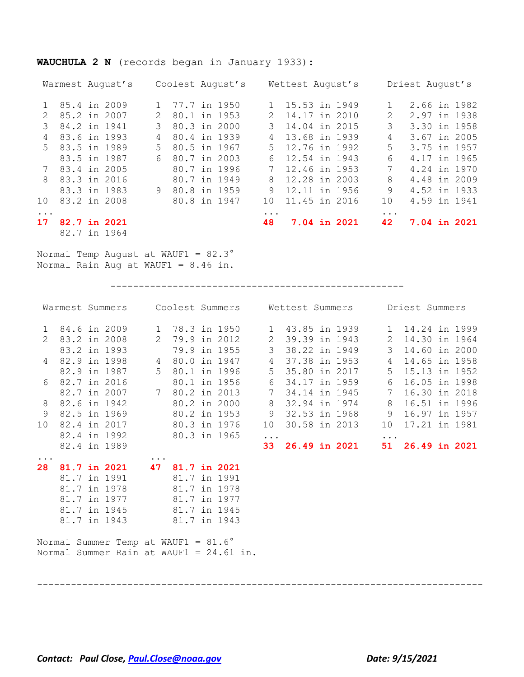### Warmest August's Coolest August's Wettest August's Driest August's 1 85.4 in 2009 1 77.7 in 1950 1 15.53 in 1949 1 2.66 in 1982 2 85.2 in 2007 2 80.1 in 1953 2 14.17 in 2010 2 2.97 in 1938 3 84.2 in 1941 3 80.3 in 2000 3 14.04 in 2015 3 3.30 in 1958 4 83.6 in 1993 4 80.4 in 1939 4 13.68 in 1939 4 3.67 in 2005 5 83.5 in 1989 5 80.5 in 1967 5 12.76 in 1992 5 3.75 in 1957 83.5 in 1987 6 80.7 in 2003 6 12.54 in 1943 6 4.17 in 1965 7 83.4 in 2005 80.7 in 1996 7 12.46 in 1953 7 4.24 in 1970 8 83.3 in 2016 80.7 in 1949 8 12.28 in 2003 8 4.48 in 2009 83.3 in 1983 9 80.8 in 1959 9 12.11 in 1956 9 4.52 in 1933 10 83.2 in 2008 80.8 in 1947 10 11.45 in 2016 10 4.59 in 1941 ... ... ... **17 82.7 in 2021 48 7.04 in 2021 42 7.04 in 2021** 82.7 in 1964

Normal Temp August at WAUF1 = 82.3° Normal Rain Aug at WAUF1 = 8.46 in.

**WAUCHULA 2 N** (records began in January 1933):

----------------------------------------------------

|                 |              |                                              |              |              | Warmest Summers Coolest Summers Wettest Summers Driest Summers |                 |                      |  |                 |                  |  |
|-----------------|--------------|----------------------------------------------|--------------|--------------|----------------------------------------------------------------|-----------------|----------------------|--|-----------------|------------------|--|
|                 |              | 1 84.6 in 2009                               |              |              | 1 78.3 in 1950 1 43.85 in 1939 1 14.24 in 1999                 |                 |                      |  |                 |                  |  |
|                 |              | 2 83.2 in 2008                               |              |              | 2 79.9 in 2012                                                 |                 | 2 39.39 in 1943      |  |                 | 2 14.30 in 1964  |  |
|                 |              | 83.2 in 1993                                 |              |              | 79.9 in 1955                                                   | 3 <sup>7</sup>  | 38.22 in 1949        |  | 3 <sup>7</sup>  | 14.60 in 2000    |  |
|                 |              | 4 82.9 in 1998                               |              |              | 4 80.0 in 1947                                                 | $4\overline{ }$ | 37.38 in 1953        |  | $4\overline{ }$ | 14.65 in 1958    |  |
|                 |              | 82.9 in 1987                                 |              |              | 5 80.1 in 1996                                                 |                 | 5 35.80 in 2017      |  |                 | 5 15.13 in 1952  |  |
| 6               | 82.7 in 2016 |                                              |              |              | 80.1 in 1956                                                   |                 | 6 34.17 in 1959      |  | 6               | 16.05 in 1998    |  |
|                 |              | 82.7 in 2007                                 |              |              | 7 80.2 in 2013                                                 |                 | 7 34.14 in 1945      |  | $7\overline{ }$ | 16.30 in 2018    |  |
| 8               |              | 82.6 in 1942                                 |              |              | 80.2 in 2000                                                   | 8               | 32.94 in 1974        |  | 8               | 16.51 in 1996    |  |
| $\overline{9}$  | 82.5 in 1969 |                                              |              |              | 80.2 in 1953                                                   | 9               | 32.53 in 1968        |  | 9               | 16.97 in 1957    |  |
| 10 <sub>o</sub> | 82.4 in 2017 |                                              | 80.3 in 1976 |              |                                                                | 10              | 30.58 in 2013        |  | 10              | 17.21 in 1981    |  |
|                 |              | 82.4 in 1992                                 | 80.3 in 1965 |              |                                                                | $\ddots$        |                      |  | $\ddots$        |                  |  |
|                 |              | 82.4 in 1989                                 |              |              |                                                                | 33              | <b>26.49 in 2021</b> |  |                 | 51 26.49 in 2021 |  |
| $\cdots$<br>28  |              | 81.7 in 2021 47 81.7 in 2021                 | $\cdots$     |              |                                                                |                 |                      |  |                 |                  |  |
|                 |              | 81.7 in 1991                                 |              | 81.7 in 1991 |                                                                |                 |                      |  |                 |                  |  |
|                 | 81.7 in 1978 |                                              |              | 81.7 in 1978 |                                                                |                 |                      |  |                 |                  |  |
|                 |              | 81.7 in 1977                                 |              | 81.7 in 1977 |                                                                |                 |                      |  |                 |                  |  |
|                 | 81.7 in 1945 |                                              |              | 81.7 in 1945 |                                                                |                 |                      |  |                 |                  |  |
|                 |              | 81.7 in 1943                                 | 81.7 in 1943 |              |                                                                |                 |                      |  |                 |                  |  |
|                 |              | Normal Summer Temp at WAUF1 = $81.6^{\circ}$ |              |              |                                                                |                 |                      |  |                 |                  |  |
|                 |              |                                              |              |              | Normal Summer Rain at WAUF1 = 24.61 in.                        |                 |                      |  |                 |                  |  |

-------------------------------------------------------------------------------

*Contact: Paul Close, [Paul.Close@noaa.gov](mailto:Paul.Close@noaa.gov) Date: 9/15/2021*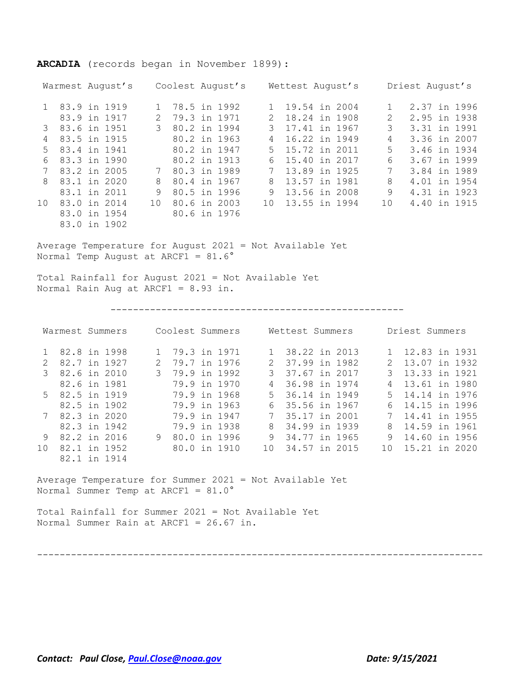|                 | Warmest August's Coolest August's Wettest August's Driest August's                                    |                 |                                  |                 |                                    |               |                  |                                |              |
|-----------------|-------------------------------------------------------------------------------------------------------|-----------------|----------------------------------|-----------------|------------------------------------|---------------|------------------|--------------------------------|--------------|
|                 | 1 83.9 in 1919                                                                                        | 1 78.5 in 1992  |                                  | 1               | 19.54 in 2004                      |               | 1                |                                | 2.37 in 1996 |
|                 | 83.9 in 1917                                                                                          | 2 79.3 in 1971  |                                  | $2^{\circ}$     | 18.24 in 1908                      |               |                  | 2 2.95 in 1938                 |              |
| 3               | 83.6 in 1951                                                                                          | 3 80.2 in 1994  |                                  | $\mathcal{S}$   | 17.41 in 1967                      |               |                  | 3 3.31 in 1991                 |              |
| $\overline{4}$  | 83.5 in 1915                                                                                          | 80.2 in 1963    |                                  | $4\overline{ }$ | 16.22 in 1949                      |               |                  | 4 3.36 in 2007                 |              |
| 5               | 83.4 in 1941                                                                                          | 80.2 in 1947    |                                  | 5               | 15.72 in 2011                      |               |                  | 5 3.46 in 1934                 |              |
| 6               | 83.3 in 1990                                                                                          |                 | 80.2 in 1913                     | 6               | 15.40 in 2017                      |               |                  | 6 3.67 in 1999                 |              |
| 7               | 83.2 in 2005                                                                                          | 7 80.3 in 1989  |                                  | $7\phantom{.0}$ | 13.89 in 1925                      |               | $7\overline{ }$  | 3.84 in 1989                   |              |
| 8               | 83.1 in 2020                                                                                          | 8 80.4 in 1967  |                                  | 8               | 13.57 in 1981                      |               |                  | 8 4.01 in 1954                 |              |
|                 | 83.1 in 2011                                                                                          | 9 80.5 in 1996  |                                  | 9               |                                    | 13.56 in 2008 |                  | 9 4.31 in 1923                 |              |
| 10              | 83.0 in 2014                                                                                          | 10 80.6 in 2003 |                                  | 10              |                                    | 13.55 in 1994 |                  | 10 4.40 in 1915                |              |
|                 | 83.0 in 1954                                                                                          | 80.6 in 1976    |                                  |                 |                                    |               |                  |                                |              |
|                 | 83.0 in 1902                                                                                          |                 |                                  |                 |                                    |               |                  |                                |              |
|                 | Normal Temp August at ARCF1 = $81.6^\circ$<br>Total Rainfall for August 2021 = Not Available Yet      |                 |                                  |                 |                                    |               |                  |                                |              |
|                 | Normal Rain Aug at ARCF1 = $8.93$ in.                                                                 |                 |                                  |                 |                                    |               |                  |                                |              |
|                 | Warmest Summers Coolest Summers Wettest Summers                                                       |                 |                                  |                 |                                    |               |                  | Driest Summers                 |              |
|                 |                                                                                                       |                 |                                  |                 |                                    |               |                  |                                |              |
| $\overline{2}$  | 1 82.8 in 1998<br>82.7 in 1927                                                                        |                 | 1 79.3 in 1971<br>2 79.7 in 1976 |                 | 1 38.22 in 2013<br>2 37.99 in 1982 |               | 1<br>$2^{\circ}$ | 12.83 in 1931<br>13.07 in 1932 |              |
| $\mathcal{S}$   | 82.6 in 2010                                                                                          |                 | 3 79.9 in 1992                   | $\mathcal{S}$   | 37.67 in 2017                      |               | 3                | 13.33 in 1921                  |              |
|                 | 82.6 in 1981                                                                                          | 79.9 in 1970    |                                  | $4\overline{ }$ | 36.98 in 1974                      |               | $\overline{4}$   | 13.61 in 1980                  |              |
| 5               | 82.5 in 1919                                                                                          |                 | 79.9 in 1968                     | 5               | 36.14 in 1949                      |               | 5                | 14.14 in 1976                  |              |
|                 | 82.5 in 1902                                                                                          | 79.9 in 1963    |                                  | 6               | 35.56 in 1967                      |               | 6                | 14.15 in 1996                  |              |
| $7\overline{ }$ | 82.3 in 2020                                                                                          | 79.9 in 1947    |                                  | 7               | 35.17 in 2001                      |               | 7                | 14.41 in 1955                  |              |
|                 | 82.3 in 1942                                                                                          |                 | 79.9 in 1938                     |                 | 8 34.99 in 1939                    |               | 8                | 14.59 in 1961                  |              |
| 9               | 82.2 in 2016                                                                                          |                 | 9 80.0 in 1996                   |                 | 9 34.77 in 1965                    |               | 9                | 14.60 in 1956                  |              |
| 10              | 82.1 in 1952                                                                                          | 80.0 in 1910    |                                  | 10              | 34.57 in 2015                      |               | 10 <sub>1</sub>  | 15.21 in 2020                  |              |
|                 | 82.1 in 1914                                                                                          |                 |                                  |                 |                                    |               |                  |                                |              |
|                 |                                                                                                       |                 |                                  |                 |                                    |               |                  |                                |              |
|                 | Average Temperature for Summer 2021 = Not Available Yet<br>Normal Summer Temp at ARCF1 = $81.0^\circ$ |                 |                                  |                 |                                    |               |                  |                                |              |

**ARCADIA** (records began in November 1899):

Total Rainfall for Summer 2021 = Not Available Yet Normal Summer Rain at ARCF1 = 26.67 in.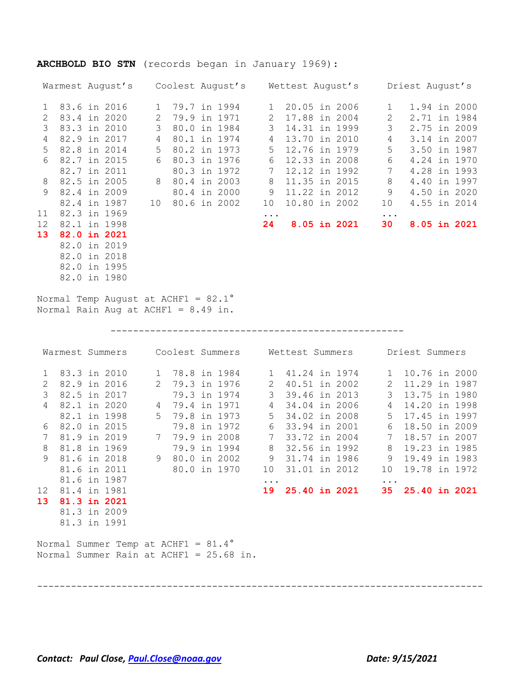|                                                                                                        |  | Warmest August's Coolest August's Wettest August's Driest August's                                                                                                                                           |  |                                                                                                                                                                               |                                                                                                                              |  |                                                                                                                                                                                               |                                                                                                    |                                                                                                                                                        |                                     |
|--------------------------------------------------------------------------------------------------------|--|--------------------------------------------------------------------------------------------------------------------------------------------------------------------------------------------------------------|--|-------------------------------------------------------------------------------------------------------------------------------------------------------------------------------|------------------------------------------------------------------------------------------------------------------------------|--|-----------------------------------------------------------------------------------------------------------------------------------------------------------------------------------------------|----------------------------------------------------------------------------------------------------|--------------------------------------------------------------------------------------------------------------------------------------------------------|-------------------------------------|
| $\mathbf{1}$<br>$\mathbf{2}$<br>3<br>$\overline{4}$<br>5<br>6<br>8<br>9<br>11<br>12 <sup>°</sup><br>13 |  | 83.6 in 2016<br>83.4 in 2020<br>83.3 in 2010<br>82.9 in 2017<br>82.8 in 2014<br>82.7 in 2015<br>82.7 in 2011<br>82.5 in 2005<br>82.4 in 2009<br>82.4 in 1987<br>82.3 in 1969<br>82.1 in 1998<br>82.0 in 2021 |  | 1 79.7 in 1994<br>2 79.9 in 1971<br>3 80.0 in 1984<br>4 80.1 in 1974<br>5 80.2 in 1973<br>6 80.3 in 1976<br>80.3 in 1972<br>8 80.4 in 2003<br>80.4 in 2000<br>10 80.6 in 2002 | $\overline{2}$<br>$4\overline{ }$<br>5 <sup>5</sup><br>6<br>$7\phantom{.0}$<br>8<br>9<br>10<br>$\bullet$ $\bullet$ $\bullet$ |  | 1 20.05 in 2006<br>17.88 in 2004<br>3 14.31 in 1999<br>13.70 in 2010<br>12.76 in 1979<br>12.33 in 2008<br>12.12 in 1992<br>11.35 in 2015<br>11.22 in 2012<br>10.80 in 2002<br>24 8.05 in 2021 | $\mathbf{1}$<br>$6\overline{6}$<br>$7\phantom{.0}$<br>$8\,$<br>10<br>$\ldots$ .<br>30 <sub>2</sub> | 2 2.71 in 1984<br>3 2.75 in 2009<br>4 3.14 in 2007<br>5 3.50 in 1987<br>4.24 in 1970<br>4.28 in 1993<br>4.40 in 1997<br>9 4.50 in 2020<br>4.55 in 2014 | 1.94 in 2000<br><b>8.05 in 2021</b> |
|                                                                                                        |  | 82.0 in 2019<br>82.0 in 2018<br>82.0 in 1995<br>82.0 in 1980<br>Normal Temp August at ACHF1 = $82.1^{\circ}$<br>Normal Rain Aug at ACHF1 = $8.49$ in.                                                        |  |                                                                                                                                                                               |                                                                                                                              |  |                                                                                                                                                                                               |                                                                                                    |                                                                                                                                                        |                                     |
|                                                                                                        |  |                                                                                                                                                                                                              |  |                                                                                                                                                                               |                                                                                                                              |  |                                                                                                                                                                                               |                                                                                                    |                                                                                                                                                        |                                     |
|                                                                                                        |  | Warmest Summers Coolest Summers Wettest Summers Driest Summers                                                                                                                                               |  |                                                                                                                                                                               |                                                                                                                              |  |                                                                                                                                                                                               |                                                                                                    |                                                                                                                                                        |                                     |
| $\mathbf{1}$<br>$\mathbf{2}$<br>$\mathcal{S}$<br>4<br>$7\overline{ }$<br>$8\,$                         |  | 83.3 in 2010<br>82.9 in 2016<br>82.5 in 2017<br>82.1 in 2020<br>82.1 in 1998<br>6 82.0 in 2015<br>81.9 in 2019<br>81.8 in 1969                                                                               |  | 1 78.8 in 1984<br>2 79.3 in 1976<br>79.3 in 1974<br>4 79.4 in 1971<br>5 79.8 in 1973<br>79.8 in 1972<br>7 79.9 in 2008<br>79.9 in 1994                                        | $4\overline{ }$                                                                                                              |  | 1 41.24 in 1974<br>2 40.51 in 2002<br>3 39.46 in 2013<br>34.04 in 2006<br>5 34.02 in 2008<br>6 33.94 in 2001<br>7 33.72 in 2004<br>8 32.56 in 1992                                            | $\mathcal{S}$<br>$4\overline{ }$<br>6<br>$7\overline{ }$<br>8                                      | 1 10.76 in 2000<br>2 11.29 in 1987<br>13.75 in 1980<br>14.20 in 1998<br>5 17.45 in 1997<br>18.50 in 2009<br>18.57 in 2007<br>19.23 in 1985             |                                     |
|                                                                                                        |  | 9 81.6 in 2018 9 80.0 in 2002 9 31.74 in 1986 9 19.49 in 1983<br>81.6 in 2011                                                                                                                                |  | 80.0 in 1970                                                                                                                                                                  |                                                                                                                              |  | 10 31.01 in 2012                                                                                                                                                                              |                                                                                                    | 10 19.78 in 1972                                                                                                                                       |                                     |
| 12 81.4 in 1981<br>13 81.3 in 2021                                                                     |  | 81.6 in 1987<br>81.3 in 2009<br>81.3 in 1991                                                                                                                                                                 |  |                                                                                                                                                                               | $\cdots$                                                                                                                     |  | 19 25.40 in 2021                                                                                                                                                                              | $\bullet$ .<br><br>$\bullet$                                                                       | 35 25.40 in 2021                                                                                                                                       |                                     |

-------------------------------------------------------------------------------

# **ARCHBOLD BIO STN** (records began in January 1969):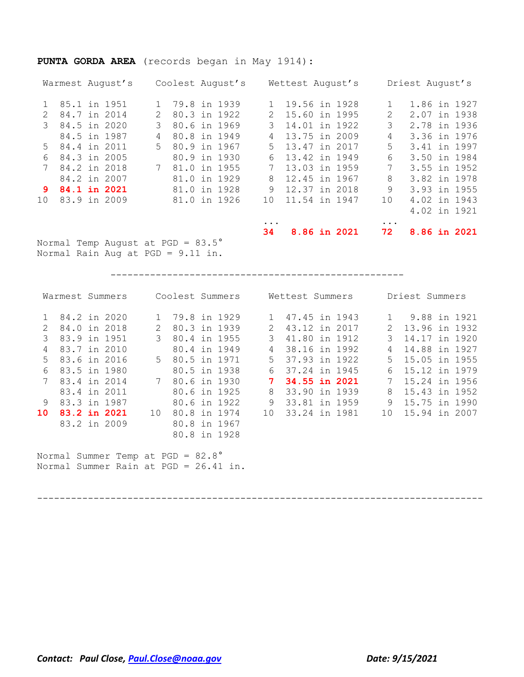### **PUNTA GORDA AREA** (records began in May 1914):

|                 | Warmest August's                           |                             | Coolest August's |                 | Wettest August's |              |          | Driest August's |
|-----------------|--------------------------------------------|-----------------------------|------------------|-----------------|------------------|--------------|----------|-----------------|
|                 | 85.1 in 1951                               | $1 \quad$                   | 79.8 in 1939     |                 | 19.56 in 1928    |              | 1        | 1.86 in 1927    |
| $\mathcal{P}$   | 84.7 in 2014                               | $\mathcal{D}_{\mathcal{L}}$ | 80.3 in 1922     | $\mathcal{L}$   | 15.60 in 1995    |              | 2        | 2.07 in 1938    |
| 3               | 84.5 in 2020                               | 3                           | 80.6 in 1969     | 3               | 14.01 in 1922    |              | 3        | 2.78 in 1936    |
|                 | 84.5 in 1987                               | 4                           | 80.8 in 1949     | 4               | 13.75 in 2009    |              | 4        | 3.36 in 1976    |
| $5 -$           | 84.4 in 2011                               | $5 -$                       | 80.9 in 1967     | 5               | 13.47 in 2017    |              | 5        | 3.41 in 1997    |
| 6               | 84.3 in 2005                               |                             | 80.9 in 1930     | 6               | 13.42 in 1949    |              | 6        | 3.50 in 1984    |
|                 | 84.2 in 2018                               | 7                           | 81.0 in 1955     |                 | 13.03 in 1959    |              | 7        | 3.55 in 1952    |
|                 | 84.2 in 2007                               |                             | 81.0 in 1929     | 8               | 12.45 in 1967    |              | 8        | 3.82 in 1978    |
| 9.              | 84.1 in 2021                               |                             | 81.0 in 1928     | 9               | 12.37 in 2018    |              | 9        | 3.93 in 1955    |
| 10 <sup>°</sup> | 83.9 in 2009                               |                             | 81.0 in 1926     | 10 <sup>°</sup> | 11.54 in 1947    |              | 10       | 4.02 in 1943    |
|                 |                                            |                             |                  |                 |                  |              |          | 4.02 in 1921    |
|                 |                                            |                             |                  | $\cdots$        |                  |              | $\cdots$ |                 |
|                 |                                            |                             |                  | 34              |                  | 8.86 in 2021 | 72       | 8.86 in 2021    |
|                 | Normal Temp August at PGD = $83.5^{\circ}$ |                             |                  |                 |                  |              |          |                 |

Normal Rain Aug at PGD = 9.11 in.

----------------------------------------------------

|                 | Warmest Summers                                                                       |    | Coolest Summers |               | Wettest Summers |             | Driest Summers |
|-----------------|---------------------------------------------------------------------------------------|----|-----------------|---------------|-----------------|-------------|----------------|
|                 | 1 84.2 in 2020                                                                        |    | 1 79.8 in 1929  |               | 1 47.45 in 1943 |             | 9.88 in 1921   |
| $\mathcal{P}$   | 84.0 in 2018                                                                          |    | 80.3 in 1939    | $\mathcal{P}$ | 43.12 in 2017   | $2^{\circ}$ | 13.96 in 1932  |
| 3               | 83.9 in 1951                                                                          | 3  | 80.4 in 1955    | 3             | 41.80 in 1912   | 3           | 14.17 in 1920  |
| 4               | 83.7 in 2010                                                                          |    | 80.4 in 1949    | 4             | 38.16 in 1992   | 4           | 14.88 in 1927  |
| .5              | 83.6 in 2016                                                                          |    | 5 80.5 in 1971  |               | 5 37.93 in 1922 | $5 -$       | 15.05 in 1955  |
| 6               | 83.5 in 1980                                                                          |    | 80.5 in 1938    | 6             | 37.24 in 1945   | 6           | 15.12 in 1979  |
|                 | 83.4 in 2014                                                                          |    | 7 80.6 in 1930  |               | 34.55 in 2021   |             | 15.24 in 1956  |
|                 | 83.4 in 2011                                                                          |    | 80.6 in 1925    | 8             | 33.90 in 1939   | 8           | 15.43 in 1952  |
| 9               | 83.3 in 1987                                                                          |    | 80.6 in 1922    | 9             | 33.81 in 1959   | 9           | 15.75 in 1990  |
| 10 <sup>1</sup> | 83.2 in 2021                                                                          | 10 | 80.8 in 1974    | 10            | 33.24 in 1981   | 10          | 15.94 in 2007  |
|                 | 83.2 in 2009                                                                          |    | 80.8 in 1967    |               |                 |             |                |
|                 |                                                                                       |    | 80.8 in 1928    |               |                 |             |                |
|                 | Normal Summer Temp at $PGD = 82.8^{\circ}$<br>Normal Summer Rain at $PGD = 26.41$ in. |    |                 |               |                 |             |                |